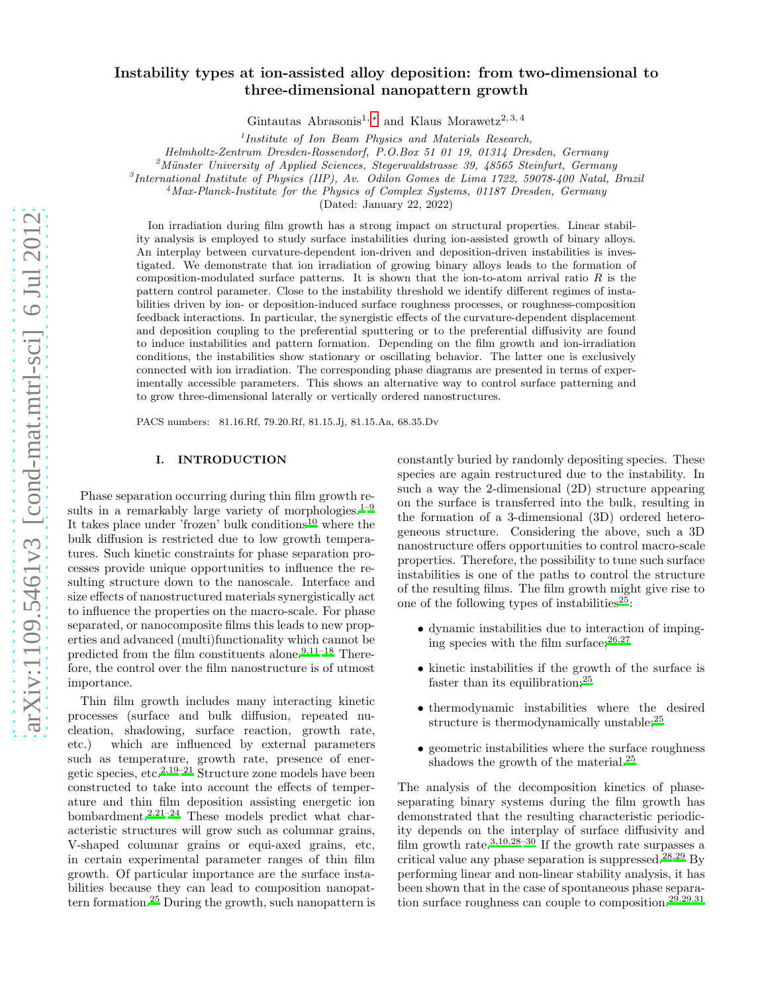# arXiv:1109.5461v3 [cond-mat.mtrl-sci] 6 Jul 2012 [arXiv:1109.5461v3 \[cond-mat.mtrl-sci\] 6 Jul 2012](http://arxiv.org/abs/1109.5461v3)

# Instability types at ion-assisted alloy deposition: from two-dimensional to three-dimensional nanopattern growth

Gintautas Abrasonis<sup>1, \*</sup> and Klaus Morawetz<sup>2, 3, 4</sup>

1 *Institute of Ion Beam Physics and Materials Research,*

*Helmholtz-Zentrum Dresden-Rossendorf, P.O.Box 51 01 19, 01314 Dresden, Germany*

<sup>2</sup>Münster University of Applied Sciences, Stegerwaldstrasse 39, 48565 Steinfurt, Germany

3 *International Institute of Physics (IIP), Av. Odilon Gomes de Lima 1722, 59078-400 Natal, Brazil*

<sup>4</sup>*Max-Planck-Institute for the Physics of Complex Systems, 01187 Dresden, Germany*

(Dated: January 22, 2022)

Ion irradiation during film growth has a strong impact on structural properties. Linear stability analysis is employed to study surface instabilities during ion-assisted growth of binary alloys. An interplay between curvature-dependent ion-driven and deposition-driven instabilities is investigated. We demonstrate that ion irradiation of growing binary alloys leads to the formation of composition-modulated surface patterns. It is shown that the ion-to-atom arrival ratio  $R$  is the pattern control parameter. Close to the instability threshold we identify different regimes of instabilities driven by ion- or deposition-induced surface roughness processes, or roughness-composition feedback interactions. In particular, the synergistic effects of the curvature-dependent displacement and deposition coupling to the preferential sputtering or to the preferential diffusivity are found to induce instabilities and pattern formation. Depending on the film growth and ion-irradiation conditions, the instabilities show stationary or oscillating behavior. The latter one is exclusively connected with ion irradiation. The corresponding phase diagrams are presented in terms of experimentally accessible parameters. This shows an alternative way to control surface patterning and to grow three-dimensional laterally or vertically ordered nanostructures.

PACS numbers: 81.16.Rf, 79.20.Rf, 81.15.Jj, 81.15.Aa, 68.35.Dv

### I. INTRODUCTION

Phase separation occurring during thin film growth results in a remarkably large variety of morphologies. $1-9$  $1-9$ It takes place under 'frozen' bulk conditions<sup>[10](#page-17-3)</sup> where the bulk diffusion is restricted due to low growth temperatures. Such kinetic constraints for phase separation processes provide unique opportunities to influence the resulting structure down to the nanoscale. Interface and size effects of nanostructured materials synergistically act to influence the properties on the macro-scale. For phase separated, or nanocomposite films this leads to new properties and advanced (multi)functionality which cannot be predicted from the film constituents alone. $9,11-18$  $9,11-18$  $9,11-18$  Therefore, the control over the film nanostructure is of utmost importance.

Thin film growth includes many interacting kinetic processes (surface and bulk diffusion, repeated nucleation, shadowing, surface reaction, growth rate, etc.) which are influenced by external parameters such as temperature, growth rate, presence of energetic species, etc.[2](#page-17-5)[,19](#page-18-1)[–21](#page-18-2) Structure zone models have been constructed to take into account the effects of temperature and thin film deposition assisting energetic ion bombardment[.](#page-17-5)2[,21](#page-18-2)[–24](#page-18-3) These models predict what characteristic structures will grow such as columnar grains, V-shaped columnar grains or equi-axed grains, etc, in certain experimental parameter ranges of thin film growth. Of particular importance are the surface instabilities because they can lead to composition nanopattern formation.[25](#page-18-4) During the growth, such nanopattern is constantly buried by randomly depositing species. These species are again restructured due to the instability. In such a way the 2-dimensional (2D) structure appearing on the surface is transferred into the bulk, resulting in the formation of a 3-dimensional (3D) ordered heterogeneous structure. Considering the above, such a 3D nanostructure offers opportunities to control macro-scale properties. Therefore, the possibility to tune such surface instabilities is one of the paths to control the structure of the resulting films. The film growth might give rise to one of the following types of instabilities $^{25}$  $^{25}$  $^{25}$ :

- dynamic instabilities due to interaction of impinging species with the film surface;  $26,27$  $26,27$
- kinetic instabilities if the growth of the surface is faster than its equilibration;  $2<sup>5</sup>$
- thermodynamic instabilities where the desired structure is thermodynamically unstable;<sup>[25](#page-18-4)</sup>
- geometric instabilities where the surface roughness shadows the growth of the material.<sup>[25](#page-18-4)</sup>

The analysis of the decomposition kinetics of phaseseparating binary systems during the film growth has demonstrated that the resulting characteristic periodicity depends on the interplay of surface diffusivity and film growth rate[.](#page-17-6)<sup>3[,10](#page-17-3)[,28](#page-18-7)[–30](#page-18-8)</sup> If the growth rate surpasses a critical value any phase separation is suppressed.[28](#page-18-7)[,29](#page-18-9) By performing linear and non-linear stability analysis, it has been shown that in the case of spontaneous phase separa-tion surface roughness can couple to composition.<sup>[29,29](#page-18-9)[,31](#page-18-10)</sup>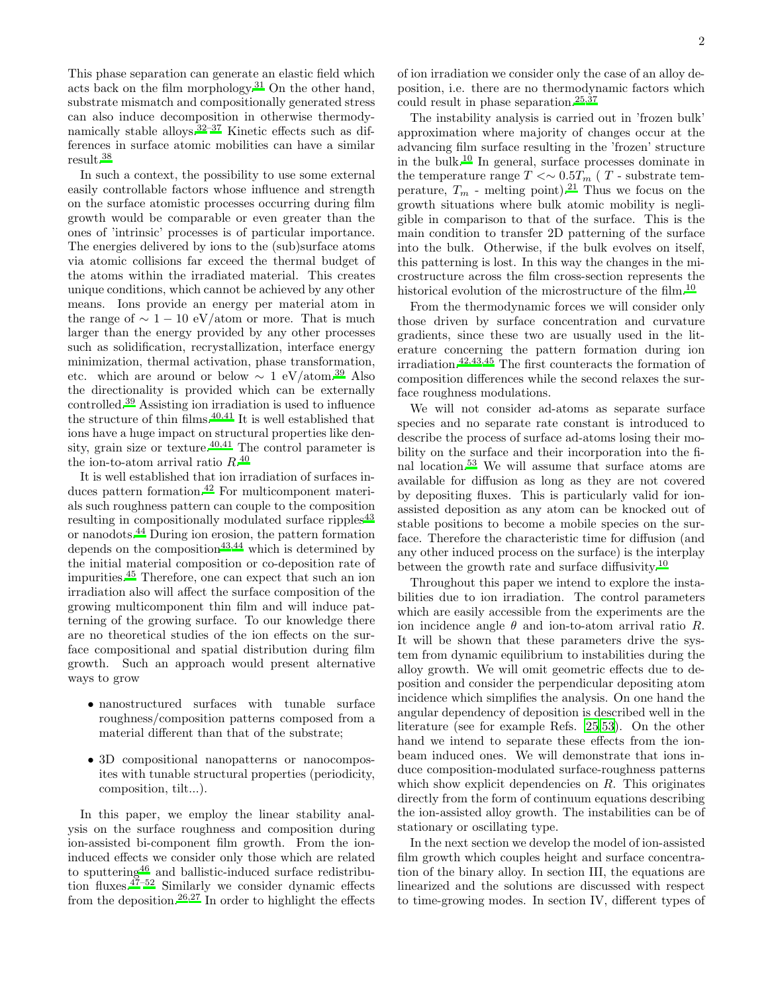This phase separation can generate an elastic field which acts back on the film morphology.<sup>[31](#page-18-10)</sup> On the other hand, substrate mismatch and compositionally generated stress can also induce decomposition in otherwise thermodynamically stable alloys.[32](#page-18-11)[–37](#page-18-12) Kinetic effects such as differences in surface atomic mobilities can have a similar result.[38](#page-18-13)

In such a context, the possibility to use some external easily controllable factors whose influence and strength on the surface atomistic processes occurring during film growth would be comparable or even greater than the ones of 'intrinsic' processes is of particular importance. The energies delivered by ions to the (sub)surface atoms via atomic collisions far exceed the thermal budget of the atoms within the irradiated material. This creates unique conditions, which cannot be achieved by any other means. Ions provide an energy per material atom in the range of  $\sim 1 - 10$  eV/atom or more. That is much larger than the energy provided by any other processes such as solidification, recrystallization, interface energy minimization, thermal activation, phase transformation, etc[.](#page-18-14) which are around or below  $\sim 1 \text{ eV/atom}.^{39}$  Also the directionality is provided which can be externally controlled.[39](#page-18-14) Assisting ion irradiation is used to influence the structure of thin films. $40,41$  $40,41$  It is well established that ions have a huge impact on structural properties like den-sity, grain size or texture.<sup>[40](#page-18-15)[,41](#page-18-16)</sup> The control parameter is the ion-to-atom arrival ratio  $R^{40}$  $R^{40}$  $R^{40}$ 

It is well established that ion irradiation of surfaces induces pattern formation[.](#page-18-17)<sup>42</sup> For multicomponent materials such roughness pattern can couple to the composition resulting in compositionally modulated surface ripples<sup>[43](#page-18-18)</sup> or nanodots.[44](#page-18-19) During ion erosion, the pattern formation depends on the composition<sup>[43](#page-18-18)[,44](#page-18-19)</sup> which is determined by the initial material composition or co-deposition rate of impurities.[45](#page-18-20) Therefore, one can expect that such an ion irradiation also will affect the surface composition of the growing multicomponent thin film and will induce patterning of the growing surface. To our knowledge there are no theoretical studies of the ion effects on the surface compositional and spatial distribution during film growth. Such an approach would present alternative ways to grow

- nanostructured surfaces with tunable surface roughness/composition patterns composed from a material different than that of the substrate;
- 3D compositional nanopatterns or nanocomposites with tunable structural properties (periodicity, composition, tilt...).

In this paper, we employ the linear stability analysis on the surface roughness and composition during ion-assisted bi-component film growth. From the ioninduced effects we consider only those which are related to sputtering[46](#page-18-21) and ballistic-induced surface redistribution fluxes.[47](#page-18-22)[–52](#page-18-23) Similarly we consider dynamic effects from the deposition.<sup>[26](#page-18-5)[,27](#page-18-6)</sup> In order to highlight the effects

of ion irradiation we consider only the case of an alloy deposition, i.e. there are no thermodynamic factors which could result in phase separation.<sup>[25](#page-18-4)[,37](#page-18-12)</sup>

The instability analysis is carried out in 'frozen bulk' approximation where majority of changes occur at the advancing film surface resulting in the 'frozen' structure in the bulk.[10](#page-17-3) In general, surface processes dominate in the temperature range  $T \ll 0.5T_m$  (T - substrate temperature,  $T_m$  - melting point).<sup>[21](#page-18-2)</sup> Thus we focus on the growth situations where bulk atomic mobility is negligible in comparison to that of the surface. This is the main condition to transfer 2D patterning of the surface into the bulk. Otherwise, if the bulk evolves on itself, this patterning is lost. In this way the changes in the microstructure across the film cross-section represents the historical evolution of the microstructure of the film[.](#page-17-3)<sup>10</sup>

From the thermodynamic forces we will consider only those driven by surface concentration and curvature gradients, since these two are usually used in the literature concerning the pattern formation during ion irradiation.[42](#page-18-17)[,43](#page-18-18)[,45](#page-18-20) The first counteracts the formation of composition differences while the second relaxes the surface roughness modulations.

We will not consider ad-atoms as separate surface species and no separate rate constant is introduced to describe the process of surface ad-atoms losing their mobility on the surface and their incorporation into the final location[.](#page-18-24)<sup>53</sup> We will assume that surface atoms are available for diffusion as long as they are not covered by depositing fluxes. This is particularly valid for ionassisted deposition as any atom can be knocked out of stable positions to become a mobile species on the surface. Therefore the characteristic time for diffusion (and any other induced process on the surface) is the interplay between the growth rate and surface diffusivity.<sup>[10](#page-17-3)</sup>

Throughout this paper we intend to explore the instabilities due to ion irradiation. The control parameters which are easily accessible from the experiments are the ion incidence angle  $\theta$  and ion-to-atom arrival ratio R. It will be shown that these parameters drive the system from dynamic equilibrium to instabilities during the alloy growth. We will omit geometric effects due to deposition and consider the perpendicular depositing atom incidence which simplifies the analysis. On one hand the angular dependency of deposition is described well in the literature (see for example Refs. [25](#page-18-4)[,53\)](#page-18-24). On the other hand we intend to separate these effects from the ionbeam induced ones. We will demonstrate that ions induce composition-modulated surface-roughness patterns which show explicit dependencies on  $R$ . This originates directly from the form of continuum equations describing the ion-assisted alloy growth. The instabilities can be of stationary or oscillating type.

In the next section we develop the model of ion-assisted film growth which couples height and surface concentration of the binary alloy. In section III, the equations are linearized and the solutions are discussed with respect to time-growing modes. In section IV, different types of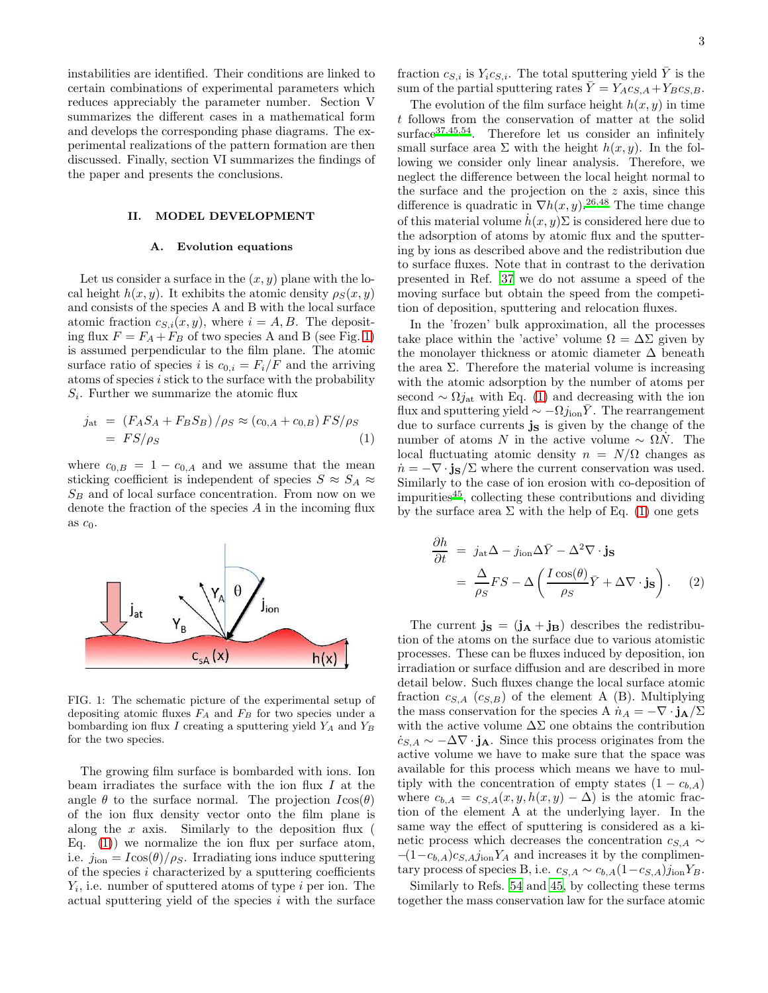instabilities are identified. Their conditions are linked to certain combinations of experimental parameters which reduces appreciably the parameter number. Section V summarizes the different cases in a mathematical form and develops the corresponding phase diagrams. The experimental realizations of the pattern formation are then discussed. Finally, section VI summarizes the findings of the paper and presents the conclusions.

# II. MODEL DEVELOPMENT

### A. Evolution equations

Let us consider a surface in the  $(x, y)$  plane with the local height  $h(x, y)$ . It exhibits the atomic density  $\rho_S(x, y)$ and consists of the species A and B with the local surface atomic fraction  $c_{S,i}(x, y)$ , where  $i = A, B$ . The depositing flux  $F = F_A + F_B$  of two species A and B (see Fig. [1\)](#page-2-0) is assumed perpendicular to the film plane. The atomic surface ratio of species i is  $c_{0,i} = F_i/F$  and the arriving atoms of species  $i$  stick to the surface with the probability  $S_i$ . Further we summarize the atomic flux

<span id="page-2-1"></span>
$$
j_{\rm at} = \left(F_A S_A + F_B S_B\right) / \rho_S \approx \left(c_{0,A} + c_{0,B}\right) FS / \rho_S
$$
  
=  $FS/\rho_S$  (1)

where  $c_{0,B} = 1 - c_{0,A}$  and we assume that the mean sticking coefficient is independent of species  $S \approx S_A \approx$  $S_B$  and of local surface concentration. From now on we denote the fraction of the species A in the incoming flux as  $c_0$ .



<span id="page-2-0"></span>FIG. 1: The schematic picture of the experimental setup of depositing atomic fluxes  $F_A$  and  $F_B$  for two species under a bombarding ion flux  $I$  creating a sputtering yield  $Y_A$  and  $Y_B$ for the two species.

The growing film surface is bombarded with ions. Ion beam irradiates the surface with the ion flux  $I$  at the angle  $\theta$  to the surface normal. The projection  $I\cos(\theta)$ of the ion flux density vector onto the film plane is along the  $x$  axis. Similarly to the deposition flux ( Eq.  $(1)$  we normalize the ion flux per surface atom, i.e.  $j_{\text{ion}} = I \cos(\theta)/\rho_S$ . Irradiating ions induce sputtering of the species  $i$  characterized by a sputtering coefficients  $Y_i$ , i.e. number of sputtered atoms of type i per ion. The actual sputtering yield of the species i with the surface

fraction  $c_{S,i}$  is  $Y_i c_{S,i}$ . The total sputtering yield  $\overline{Y}$  is the sum of the partial sputtering rates  $\overline{Y} = Y_A c_{S,A} + Y_B c_{S,B}$ .

The evolution of the film surface height  $h(x, y)$  in time t follows from the conservation of matter at the solid surface<sup>[37](#page-18-12)[,45](#page-18-20)[,54](#page-18-25)</sup>. Therefore let us consider an infinitely small surface area  $\Sigma$  with the height  $h(x, y)$ . In the following we consider only linear analysis. Therefore, we neglect the difference between the local height normal to the surface and the projection on the z axis, since this difference is quadratic in  $\nabla h(x, y)$ [.](#page-18-5)<sup>26[,48](#page-18-26)</sup> The time change of this material volume  $h(x, y)$ Σ is considered here due to the adsorption of atoms by atomic flux and the sputtering by ions as described above and the redistribution due to surface fluxes. Note that in contrast to the derivation presented in Ref. [37](#page-18-12) we do not assume a speed of the moving surface but obtain the speed from the competition of deposition, sputtering and relocation fluxes.

In the 'frozen' bulk approximation, all the processes take place within the 'active' volume  $\Omega = \Delta \Sigma$  given by the monolayer thickness or atomic diameter  $\Delta$  beneath the area  $\Sigma$ . Therefore the material volume is increasing with the atomic adsorption by the number of atoms per second  $\sim \Omega j_{\rm at}$  with Eq. [\(1\)](#page-2-1) and decreasing with the ion flux and sputtering yield  $\sim -\Omega j_{\text{ion}}\bar{Y}$ . The rearrangement due to surface currents  $\mathbf{j}_\mathbf{S}$  is given by the change of the number of atoms N in the active volume  $~\sim~\Omega N$ . The local fluctuating atomic density  $n = N/\Omega$  changes as  $\dot{n} = -\nabla \cdot j_s / \Sigma$  where the current conservation was used. Similarly to the case of ion erosion with co-deposition of impurities[45](#page-18-20), collecting these contributions and dividing by the surface area  $\Sigma$  with the help of Eq. [\(1\)](#page-2-1) one gets

<span id="page-2-2"></span>
$$
\frac{\partial h}{\partial t} = j_{\rm at} \Delta - j_{\rm ion} \Delta \bar{Y} - \Delta^2 \nabla \cdot \mathbf{j_s}
$$

$$
= \frac{\Delta}{\rho_S} FS - \Delta \left( \frac{I \cos(\theta)}{\rho_S} \bar{Y} + \Delta \nabla \cdot \mathbf{j_s} \right). \quad (2)
$$

The current  $\mathbf{j}_\mathbf{S} = (\mathbf{j}_\mathbf{A} + \mathbf{j}_\mathbf{B})$  describes the redistribution of the atoms on the surface due to various atomistic processes. These can be fluxes induced by deposition, ion irradiation or surface diffusion and are described in more detail below. Such fluxes change the local surface atomic fraction  $c_{S,A}$  ( $c_{S,B}$ ) of the element A (B). Multiplying the mass conservation for the species A  $\dot{n}_A = -\nabla \cdot \mathbf{j}_A / \Sigma$ with the active volume  $\Delta\Sigma$  one obtains the contribution  $\dot{c}_{S,A} \sim -\Delta \nabla \cdot \mathbf{j}_A$ . Since this process originates from the active volume we have to make sure that the space was available for this process which means we have to multiply with the concentration of empty states  $(1 - c_{b,A})$ where  $c_{b,A} = c_{S,A}(x, y, h(x, y) - \Delta)$  is the atomic fraction of the element A at the underlying layer. In the same way the effect of sputtering is considered as a kinetic process which decreases the concentration  $c_{S,A} \sim$  $-(1-c_{b,A})c_{S,A}j_{\text{ion}}Y_A$  and increases it by the complimentary process of species B, i.e.  $c_{S,A} \sim c_{b,A} (1-c_{S,A}) j_{\text{ion}} Y_B$ .

Similarly to Refs. [54](#page-18-25) and [45,](#page-18-20) by collecting these terms together the mass conservation law for the surface atomic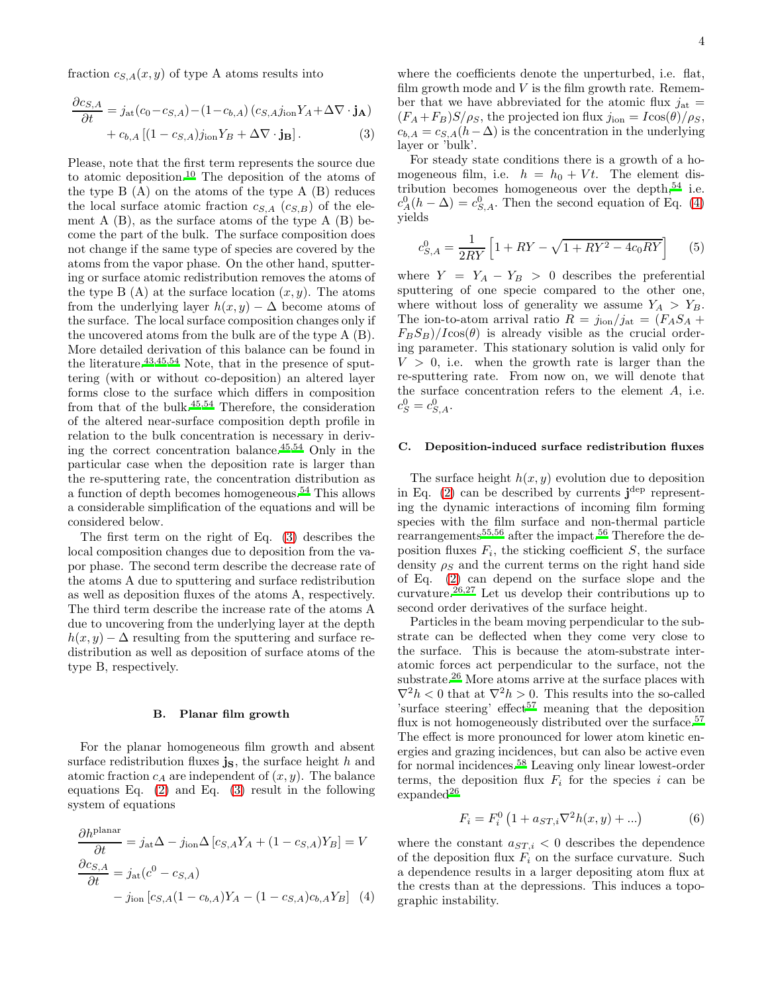fraction  $c_{S,A}(x, y)$  of type A atoms results into

$$
\frac{\partial c_{S,A}}{\partial t} = j_{\rm at} (c_0 - c_{S,A}) - (1 - c_{b,A}) (c_{S,A} j_{\rm ion} Y_A + \Delta \nabla \cdot \mathbf{j}_A)
$$

$$
+ c_{b,A} \left[ (1 - c_{S,A}) j_{\text{ion}} Y_B + \Delta \nabla \cdot \mathbf{j}_B \right]. \tag{3}
$$

Please, note that the first term represents the source due to atomic deposition.<sup>[10](#page-17-3)</sup> The deposition of the atoms of the type  $B(A)$  on the atoms of the type  $A(B)$  reduces the local surface atomic fraction  $c_{S,A}$   $(c_{S,B})$  of the element  $A(B)$ , as the surface atoms of the type  $A(B)$  become the part of the bulk. The surface composition does not change if the same type of species are covered by the atoms from the vapor phase. On the other hand, sputtering or surface atomic redistribution removes the atoms of the type B  $(A)$  at the surface location  $(x, y)$ . The atoms from the underlying layer  $h(x, y) - \Delta$  become atoms of the surface. The local surface composition changes only if the uncovered atoms from the bulk are of the type A (B). More detailed derivation of this balance can be found in the literature.[43](#page-18-18)[,45](#page-18-20)[,54](#page-18-25) Note, that in the presence of sputtering (with or without co-deposition) an altered layer forms close to the surface which differs in composition from that of the bulk.[45](#page-18-20)[,54](#page-18-25) Therefore, the consideration of the altered near-surface composition depth profile in relation to the bulk concentration is necessary in deriving the correct concentration balance.[45](#page-18-20)[,54](#page-18-25) Only in the particular case when the deposition rate is larger than the re-sputtering rate, the concentration distribution as a function of depth becomes homogeneous.[54](#page-18-25) This allows a considerable simplification of the equations and will be considered below.

The first term on the right of Eq. [\(3\)](#page-3-0) describes the local composition changes due to deposition from the vapor phase. The second term describe the decrease rate of the atoms A due to sputtering and surface redistribution as well as deposition fluxes of the atoms A, respectively. The third term describe the increase rate of the atoms A due to uncovering from the underlying layer at the depth  $h(x, y) - \Delta$  resulting from the sputtering and surface redistribution as well as deposition of surface atoms of the type B, respectively.

### B. Planar film growth

For the planar homogeneous film growth and absent surface redistribution fluxes  $\mathbf{j}_\mathbf{S}$ , the surface height h and atomic fraction  $c_A$  are independent of  $(x, y)$ . The balance equations Eq. [\(2\)](#page-2-2) and Eq. [\(3\)](#page-3-0) result in the following system of equations

$$
\frac{\partial h^{\text{planar}}}{\partial t} = j_{\text{at}} \Delta - j_{\text{ion}} \Delta \left[ c_{S,A} Y_A + (1 - c_{S,A}) Y_B \right] = V
$$

$$
\frac{\partial c_{S,A}}{\partial t} = j_{\text{at}} (c^0 - c_{S,A})
$$

$$
- j_{\text{ion}} \left[ c_{S,A} (1 - c_{b,A}) Y_A - (1 - c_{S,A}) c_{b,A} Y_B \right] \tag{4}
$$

where the coefficients denote the unperturbed, i.e. flat, film growth mode and  $V$  is the film growth rate. Remember that we have abbreviated for the atomic flux  $j_{at}$  =  $(F_A + F_B)S/\rho_S$ , the projected ion flux  $j_{\text{ion}} = I\cos(\theta)/\rho_S$ ,  $c_{b,A} = c_{S,A}(h-\Delta)$  is the concentration in the underlying layer or 'bulk'.

<span id="page-3-0"></span>For steady state conditions there is a growth of a homogeneous film, i.e.  $h = h_0 + Vt$ . The element distribution becomes homogeneous over the depth,  $54$  i.e.  $c_A^0(h - \Delta) = c_{S,A}^0$ . Then the second equation of Eq. [\(4\)](#page-3-1) yields

<span id="page-3-3"></span>
$$
c_{S,A}^0 = \frac{1}{2RY} \left[ 1 + RY - \sqrt{1 + RY^2 - 4c_0RY} \right] \tag{5}
$$

where  $Y = Y_A - Y_B > 0$  describes the preferential sputtering of one specie compared to the other one, where without loss of generality we assume  $Y_A > Y_B$ . The ion-to-atom arrival ratio  $R = j_{\text{ion}}/j_{\text{at}} = (F_A S_A +$  $F_B S_B$ )/Icos( $\theta$ ) is already visible as the crucial ordering parameter. This stationary solution is valid only for  $V > 0$ , i.e. when the growth rate is larger than the re-sputtering rate. From now on, we will denote that the surface concentration refers to the element A, i.e.  $c_S^0 = c_{S,A}^0$ .

# C. Deposition-induced surface redistribution fluxes

The surface height  $h(x, y)$  evolution due to deposition in Eq.  $(2)$  can be described by currents  $\mathbf{j}^{\text{dep}}$  representing the dynamic interactions of incoming film forming species with the film surface and non-thermal particle rearrangements[55](#page-18-27)[,56](#page-18-28) after the impact.[56](#page-18-28) Therefore the deposition fluxes  $F_i$ , the sticking coefficient  $S$ , the surface density  $\rho_S$  and the current terms on the right hand side of Eq. [\(2\)](#page-2-2) can depend on the surface slope and the curvature.<sup>[26](#page-18-5)[,27](#page-18-6)</sup> Let us develop their contributions up to second order derivatives of the surface height.

Particles in the beam moving perpendicular to the substrate can be deflected when they come very close to the surface. This is because the atom-substrate interatomic forces act perpendicular to the surface, not the substrate.[26](#page-18-5) More atoms arrive at the surface places with  $\nabla^2 h < 0$  that at  $\nabla^2 h > 0$ . This results into the so-called 'surface s[t](#page-18-29)eering' effect<sup>57</sup> meaning that the deposition flux is not homogeneously distributed over the surface.<sup>[57](#page-18-29)</sup> The effect is more pronounced for lower atom kinetic energies and grazing incidences, but can also be active even for normal incidences.[58](#page-18-30) Leaving only linear lowest-order terms, the deposition flux  $F_i$  for the species i can be  $expanded^{26}$  $expanded^{26}$  $expanded^{26}$ 

<span id="page-3-2"></span>
$$
F_i = F_i^0 \left( 1 + a_{ST,i} \nabla^2 h(x, y) + \ldots \right) \tag{6}
$$

<span id="page-3-1"></span>where the constant  $a_{ST,i} < 0$  describes the dependence of the deposition flux  $F_i$  on the surface curvature. Such a dependence results in a larger depositing atom flux at the crests than at the depressions. This induces a topographic instability.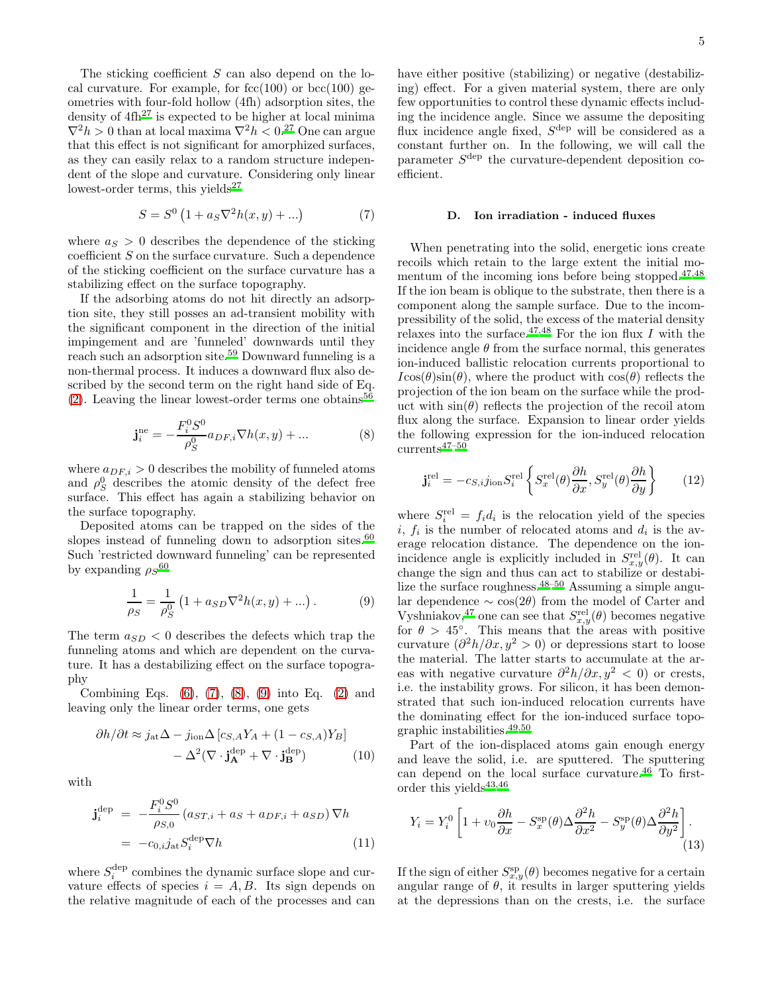The sticking coefficient  $S$  can also depend on the local curvature. For example, for  $fcc(100)$  or  $bcc(100)$  geometries with four-fold hollow (4fh) adsorption sites, the density of  $4\text{fh}^{27}$  $4\text{fh}^{27}$  $4\text{fh}^{27}$  is expected to be higher at local minima  $\nabla^2 h > 0$  than at local maxima  $\nabla^2 h < 0$ .<sup>[27](#page-18-6)</sup> One can argue that this effect is not significant for amorphized surfaces, as they can easily relax to a random structure independent of the slope and curvature. Considering only linear lowest-order terms, this yields<sup>[27](#page-18-6)</sup>

<span id="page-4-0"></span>
$$
S = S^{0} (1 + a_{S} \nabla^{2} h(x, y) + ...)
$$
 (7)

where  $a<sub>S</sub> > 0$  describes the dependence of the sticking  $\alpha$  coefficient  $S$  on the surface curvature. Such a dependence of the sticking coefficient on the surface curvature has a stabilizing effect on the surface topography.

If the adsorbing atoms do not hit directly an adsorption site, they still posses an ad-transient mobility with the significant component in the direction of the initial impingement and are 'funneled' downwards until they reach such an adsorption site.[59](#page-18-31) Downward funneling is a non-thermal process. It induces a downward flux also described by the second term on the right hand side of Eq.  $(2)$ . Leaving the linear lowest-order terms one obtains<sup>[56](#page-18-28)</sup>

<span id="page-4-1"></span>
$$
\mathbf{j}_{i}^{\text{ne}} = -\frac{F_{i}^{0}S^{0}}{\rho_{S}^{0}} a_{DF,i} \nabla h(x, y) + ... \qquad (8)
$$

where  $a_{DF,i} > 0$  describes the mobility of funneled atoms and  $\rho_S^0$  describes the atomic density of the defect free surface. This effect has again a stabilizing behavior on the surface topography.

Deposited atoms can be trapped on the sides of the slopes instead of funneling down to adsorption sites. $60$ Such 'restricted downward funneling' can be represented by expanding  $\rho_S$ <sup>[60](#page-18-32)</sup>

<span id="page-4-2"></span>
$$
\frac{1}{\rho_S} = \frac{1}{\rho_S^0} \left( 1 + a_{SD} \nabla^2 h(x, y) + \ldots \right). \tag{9}
$$

The term  $a_{SD} < 0$  describes the defects which trap the funneling atoms and which are dependent on the curvature. It has a destabilizing effect on the surface topography

Combining Eqs.  $(6)$ ,  $(7)$ ,  $(8)$ ,  $(9)$  into Eq.  $(2)$  and leaving only the linear order terms, one gets

$$
\partial h/\partial t \approx j_{\rm at} \Delta - j_{\rm ion} \Delta \left[ c_{S,A} Y_A + (1 - c_{S,A}) Y_B \right] - \Delta^2 (\nabla \cdot \mathbf{j}_{\mathbf{A}}^{\rm dep} + \nabla \cdot \mathbf{j}_{\mathbf{B}}^{\rm dep})
$$
(10)

with

<span id="page-4-5"></span>
$$
\mathbf{j}_{i}^{\text{dep}} = -\frac{F_{i}^{0}S^{0}}{\rho_{S,0}} \left( a_{ST,i} + a_{S} + a_{DF,i} + a_{SD} \right) \nabla h
$$

$$
= -c_{0,i} j_{\text{at}} S_{i}^{\text{dep}} \nabla h \tag{11}
$$

where  $S_i^{\text{dep}}$  combines the dynamic surface slope and curvature effects of species  $i = A, B$ . Its sign depends on the relative magnitude of each of the processes and can

have either positive (stabilizing) or negative (destabilizing) effect. For a given material system, there are only few opportunities to control these dynamic effects including the incidence angle. Since we assume the depositing flux incidence angle fixed,  $S^{\text{dep}}$  will be considered as a constant further on. In the following, we will call the parameter  $S^{\text{dep}}$  the curvature-dependent deposition coefficient.

# D. Ion irradiation - induced fluxes

When penetrating into the solid, energetic ions create recoils which retain to the large extent the initial mo-mentum of the incoming ions before being stopped.<sup>[47](#page-18-22)[,48](#page-18-26)</sup> If the ion beam is oblique to the substrate, then there is a component along the sample surface. Due to the incompressibility of the solid, the excess of the material density relaxes into the surface.<sup>[47](#page-18-22)[,48](#page-18-26)</sup> For the ion flux I with the incidence angle  $\theta$  from the surface normal, this generates ion-induced ballistic relocation currents proportional to  $I\cos(\theta)\sin(\theta)$ , where the product with  $\cos(\theta)$  reflects the projection of the ion beam on the surface while the product with  $\sin(\theta)$  reflects the projection of the recoil atom flux along the surface. Expansion to linear order yields the following expression for the ion-induced relocation  $currents^{47-50}$  $currents^{47-50}$  $currents^{47-50}$ 

<span id="page-4-4"></span>
$$
\mathbf{j}_{i}^{\text{rel}} = -c_{S,i}j_{\text{ion}}S_{i}^{\text{rel}} \left\{ S_{x}^{\text{rel}}(\theta) \frac{\partial h}{\partial x}, S_{y}^{\text{rel}}(\theta) \frac{\partial h}{\partial y} \right\} \tag{12}
$$

where  $S_i^{\text{rel}} = f_i d_i$  is the relocation yield of the species  $i, f_i$  is the number of relocated atoms and  $d_i$  is the average relocation distance. The dependence on the ionincidence angle is explicitly included in  $S_{x,y}^{\text{rel}}(\theta)$ . It can change the sign and thus can act to stabilize or destabilize the surface roughness.[48](#page-18-26)[–50](#page-18-33) Assuming a simple angular dependence  $\sim \cos(2\theta)$  from the model of Carter and Vyshniakov,<sup>[47](#page-18-22)</sup> one can see that  $S_{x,y}^{\text{rel}}(\theta)$  becomes negative for  $\theta > 45^\circ$ . This means that the areas with positive curvature  $(\partial^2 h/\partial x, y^2 > 0)$  or depressions start to loose the material. The latter starts to accumulate at the areas with negative curvature  $\frac{\partial^2 h}{\partial x, y^2} < 0$  or crests, i.e. the instability grows. For silicon, it has been demonstrated that such ion-induced relocation currents have the dominating effect for the ion-induced surface topographic instabilities.[49](#page-18-34)[,50](#page-18-33)

<span id="page-4-3"></span>Part of the ion-displaced atoms gain enough energy and leave the solid, i.e. are sputtered. The sputtering can depend on the local surface curvature.[46](#page-18-21) To firstorder this yields  $43,46$  $43,46$ 

$$
Y_i = Y_i^0 \left[ 1 + v_0 \frac{\partial h}{\partial x} - S_x^{\rm sp}(\theta) \Delta \frac{\partial^2 h}{\partial x^2} - S_y^{\rm sp}(\theta) \Delta \frac{\partial^2 h}{\partial y^2} \right].
$$
\n(13)

If the sign of either  $S_{x,y}^{\text{sp}}(\theta)$  becomes negative for a certain angular range of  $\theta$ , it results in larger sputtering yields at the depressions than on the crests, i.e. the surface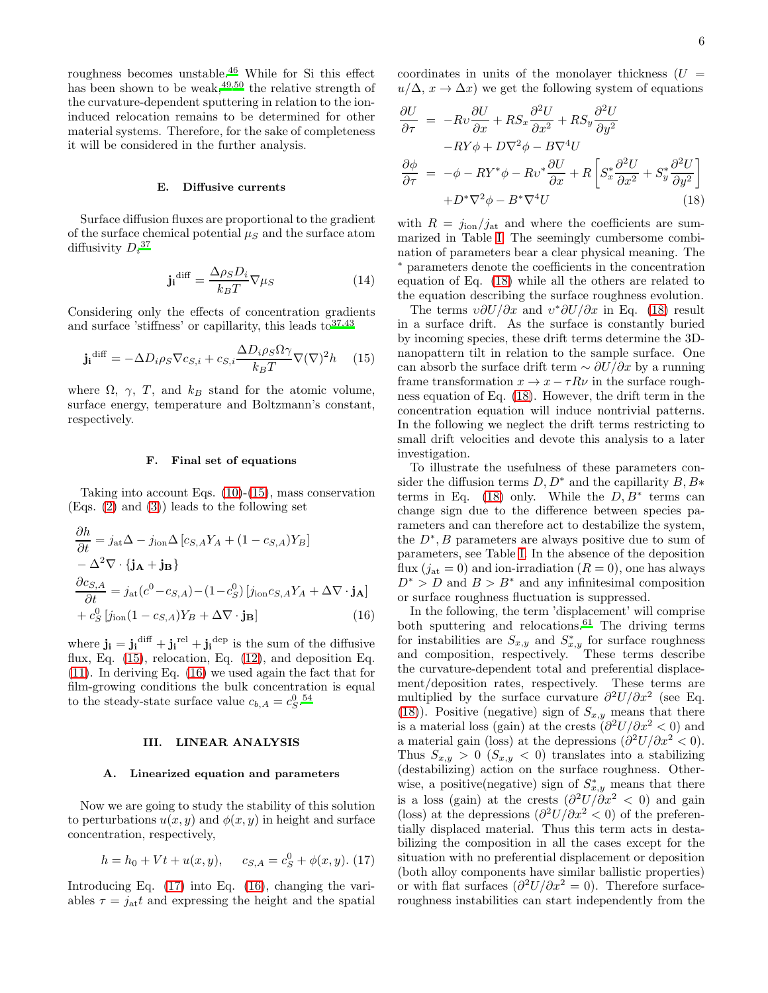roughness becomes unstable.[46](#page-18-21) While for Si this effect has been shown to be weak,  $49,50$  $49,50$  the relative strength of the curvature-dependent sputtering in relation to the ioninduced relocation remains to be determined for other material systems. Therefore, for the sake of completeness it will be considered in the further analysis.

### E. Diffusive currents

Surface diffusion fluxes are proportional to the gradient of the surface chemical potential  $\mu<sub>S</sub>$  and the surface atom diffusivity  $D_i{}^{37}$  $D_i{}^{37}$  $D_i{}^{37}$ 

$$
\mathbf{j_i}^{\text{diff}} = \frac{\Delta \rho_S D_i}{k_B T} \nabla \mu_S \tag{14}
$$

Considering only the effects of concentration gradients and surface 'stiffness' or capillarity, this leads  $to^{37,43}$  $to^{37,43}$  $to^{37,43}$  $to^{37,43}$ 

<span id="page-5-0"></span>
$$
\mathbf{j_i}^{\text{diff}} = -\Delta D_i \rho_S \nabla c_{S,i} + c_{S,i} \frac{\Delta D_i \rho_S \Omega \gamma}{k_B T} \nabla (\nabla)^2 h \qquad (15)
$$

where  $\Omega$ ,  $\gamma$ , T, and  $k_B$  stand for the atomic volume, surface energy, temperature and Boltzmann's constant, respectively.

# F. Final set of equations

Taking into account Eqs. [\(10\)](#page-4-3)-[\(15\)](#page-5-0), mass conservation (Eqs. [\(2\)](#page-2-2) and [\(3\)](#page-3-0)) leads to the following set

$$
\frac{\partial h}{\partial t} = j_{\rm at} \Delta - j_{\rm ion} \Delta \left[ c_{S,A} Y_A + (1 - c_{S,A}) Y_B \right] \n- \Delta^2 \nabla \cdot \{ \mathbf{j_A} + \mathbf{j_B} \} \n\frac{\partial c_{S,A}}{\partial t} = j_{\rm at} (c^0 - c_{S,A}) - (1 - c_S^0) \left[ j_{\rm ion} c_{S,A} Y_A + \Delta \nabla \cdot \mathbf{j_A} \right] \n+ c_S^0 \left[ j_{\rm ion} (1 - c_{S,A}) Y_B + \Delta \nabla \cdot \mathbf{j_B} \right]
$$
\n(16)

where  $\mathbf{j_i} = \mathbf{j_i}^{\text{diff}} + \mathbf{j_i}^{\text{rel}} + \mathbf{j_i}^{\text{dep}}$  is the sum of the diffusive flux, Eq.  $(15)$ , relocation, Eq.  $(12)$ , and deposition Eq. [\(11\)](#page-4-5). In deriving Eq. [\(16\)](#page-5-1) we used again the fact that for film-growing conditions the bulk concentration is equal to the steady-state surface value  $c_{b,A} = c_S^{0.54}$  $c_{b,A} = c_S^{0.54}$  $c_{b,A} = c_S^{0.54}$ 

# III. LINEAR ANALYSIS

### A. Linearized equation and parameters

Now we are going to study the stability of this solution to perturbations  $u(x, y)$  and  $\phi(x, y)$  in height and surface concentration, respectively,

<span id="page-5-2"></span>
$$
h = h_0 + Vt + u(x, y), \qquad c_{S,A} = c_S^0 + \phi(x, y). \tag{17}
$$

Introducing Eq. [\(17\)](#page-5-2) into Eq. [\(16\)](#page-5-1), changing the variables  $\tau = j_{\text{at}}t$  and expressing the height and the spatial coordinates in units of the monolayer thickness  $(U =$  $u/\Delta$ ,  $x \to \Delta x$ ) we get the following system of equations

<span id="page-5-3"></span>
$$
\frac{\partial U}{\partial \tau} = -Rv \frac{\partial U}{\partial x} + RS_x \frac{\partial^2 U}{\partial x^2} + RS_y \frac{\partial^2 U}{\partial y^2} \n-RY\phi + D\nabla^2 \phi - B\nabla^4 U \n\frac{\partial \phi}{\partial \tau} = -\phi - RY^* \phi - Rv^* \frac{\partial U}{\partial x} + R \left[ S_x^* \frac{\partial^2 U}{\partial x^2} + S_y^* \frac{\partial^2 U}{\partial y^2} \right] \n+ D^* \nabla^2 \phi - B^* \nabla^4 U
$$
\n(18)

with  $R = j_{\text{ion}}/j_{\text{at}}$  and where the coefficients are summarized in Table [I.](#page-6-0) The seemingly cumbersome combination of parameters bear a clear physical meaning. The <sup>∗</sup> parameters denote the coefficients in the concentration equation of Eq. [\(18\)](#page-5-3) while all the others are related to the equation describing the surface roughness evolution.

The terms  $v\partial U/\partial x$  and  $v^*\partial U/\partial x$  in Eq. [\(18\)](#page-5-3) result in a surface drift. As the surface is constantly buried by incoming species, these drift terms determine the 3Dnanopattern tilt in relation to the sample surface. One can absorb the surface drift term  $\sim \partial U/\partial x$  by a running frame transformation  $x \to x - \tau R \nu$  in the surface roughness equation of Eq. [\(18\)](#page-5-3). However, the drift term in the concentration equation will induce nontrivial patterns. In the following we neglect the drift terms restricting to small drift velocities and devote this analysis to a later investigation.

To illustrate the usefulness of these parameters consider the diffusion terms  $D, D^*$  and the capillarity  $B, B^*$ terms in Eq. [\(18\)](#page-5-3) only. While the  $D, B^*$  terms can change sign due to the difference between species parameters and can therefore act to destabilize the system, the  $D^*, B$  parameters are always positive due to sum of parameters, see Table [I.](#page-6-0) In the absence of the deposition flux  $(i_{\text{at}} = 0)$  and ion-irradiation  $(R = 0)$ , one has always  $D^* > D$  and  $B > B^*$  and any infinitesimal composition or surface roughness fluctuation is suppressed.

<span id="page-5-1"></span>In the following, the term 'displacement' will comprise both sputtering and relocations.<sup>[61](#page-18-35)</sup> The driving terms for instabilities are  $S_{x,y}$  and  $S_{x,y}^*$  for surface roughness and composition, respectively. These terms describe the curvature-dependent total and preferential displacement/deposition rates, respectively. These terms are multiplied by the surface curvature  $\partial^2 U/\partial x^2$  (see Eq. [\(18\)](#page-5-3)). Positive (negative) sign of  $S_{x,y}$  means that there is a material loss (gain) at the crests  $\ddot{\theta}^2 U/\partial x^2 < 0$ ) and a material gain (loss) at the depressions  $\left(\frac{\partial^2 U}{\partial x^2} < 0\right)$ . Thus  $S_{x,y} > 0$   $(S_{x,y} < 0)$  translates into a stabilizing (destabilizing) action on the surface roughness. Otherwise, a positive(negative) sign of  $S_{x,y}^*$  means that there is a loss (gain) at the crests  $\left(\frac{\partial^2 U}{\partial x^2} < 0\right)$  and gain (loss) at the depressions  $\left(\frac{\partial^2 U}{\partial x^2} < 0\right)$  of the preferentially displaced material. Thus this term acts in destabilizing the composition in all the cases except for the situation with no preferential displacement or deposition (both alloy components have similar ballistic properties) or with flat surfaces  $\left(\frac{\partial^2 U}{\partial x^2} = 0\right)$ . Therefore surfaceroughness instabilities can start independently from the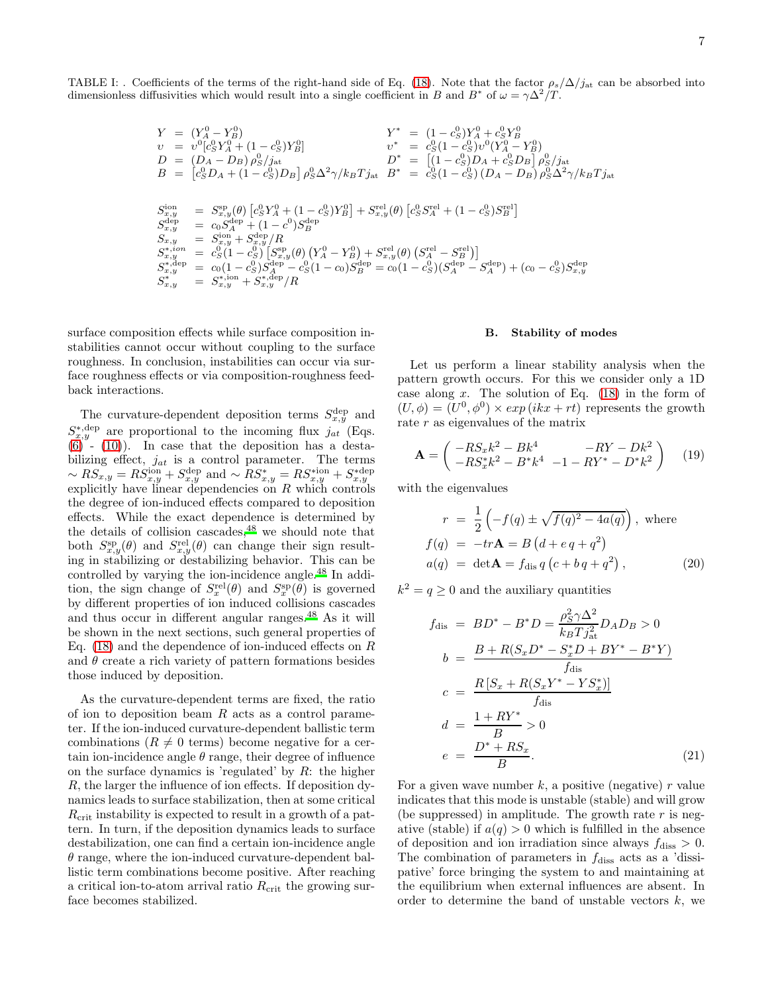TABLE I: . Coefficients of the terms of the right-hand side of Eq. [\(18\)](#page-5-3). Note that the factor  $\rho_s/\Delta/j_{\rm at}$  can be absorbed into dimensionless diffusivities which would result into a single coefficient in B and B<sup>\*</sup> of  $\omega = \gamma \Delta^2/T$ .

<span id="page-6-0"></span>
$$
Y = (Y_A^0 - Y_B^0)
$$
  
\n
$$
v = v^0 [c_S^0 Y_A^0 + (1 - c_S^0) Y_B^0]
$$
  
\n
$$
D = (D_A - D_B) \rho_S^0 / j_{\text{at}}
$$
  
\n
$$
D^* = [ (1 - c_S^0) D_A + c_S^0 D_B ] \rho_S^0 / j_{\text{at}}
$$
  
\n
$$
D^* = [(1 - c_S^0) D_A + c_S^0 D_B ] \rho_S^0 / j_{\text{at}}
$$
  
\n
$$
D^* = [(1 - c_S^0) D_A + c_S^0 D_B ] \rho_S^0 / j_{\text{at}}
$$
  
\n
$$
D^* = [(1 - c_S^0) D_A + c_S^0 D_B ] \rho_S^0 / j_{\text{at}}
$$
  
\n
$$
D^* = [ (1 - c_S^0) D_A + c_S^0 D_B ] \rho_S^0 / j_{\text{at}}
$$
  
\n
$$
D^* = c_S^0 (1 - c_S^0) D_A + c_S^0 D_B ] \rho_S^0 / j_{\text{at}}
$$
  
\n
$$
D^* = c_S^0 (1 - c_S^0) D_A + c_S^0 D_B
$$
  
\n
$$
S^* = c_S^0 (1 - c_S^0) [S^*_{\text{at}} / (1 - c_S^0) S^*_{\text{at}}
$$
  
\n
$$
S^*_{\text{at}} = c_S^0 (1 - c_S^0) [S^*_{\text{at}} / (0) (Y_A^0 - Y_B^0) + S^{\text{rel}}_{\text{at}} (0) (S^{\text{rel}}_{\text{at}} - S^{\text{rel}}_{\text{at}})]
$$
  
\n
$$
S^*_{\text{at}} = c_S^0 (1 - c_S^0) S^{\text{dep}}_{\text{at}} - c_S^0 (1 - c_S) S^{\text{dep}}_{\text{at}}
$$
  
\n
$$
S^*_{\text{at}} = c_S^0 (1 - c_S^0) S^{\text{dep}}_{\text{at}} - c_S^0 (1 - c_S) S^{\text{dep}}_{\text{at}}
$$
  
\n
$$
S^*_{\text{at}} = S^*_{\text{at}} \rho_S^* = S^*_{\text{at}} \rho_S^* R^*_{\
$$

surface composition effects while surface composition instabilities cannot occur without coupling to the surface roughness. In conclusion, instabilities can occur via surface roughness effects or via composition-roughness feedback interactions.

The curvature-dependent deposition terms  $S_{x,y}^{\text{dep}}$  and  $S_{x,y}^{*,\text{dep}}$  are proportional to the incoming flux  $j_{at}$  (Eqs.  $(6)$  -  $(10)$ ). In case that the deposition has a destabilizing effect,  $j_{at}$  is a control parameter. The terms  $~ \sim RS_{x,y}^{\sim} = RS_{x,y}^{\text{ion}} + S_{x,y}^{\text{dep}}$  and  $~ \sim RS_{x,y}^{*} = RS_{x,y}^{* \text{ion}} + S_{x,y}^{* \text{dep}}$  explicitly have linear dependencies on R which controls the degree of ion-induced effects compared to deposition effects. While the exact dependence is determined by the details of collision cascades[,](#page-18-26)  $48$  we should note that both  $S_{x,y}^{\rm sp}(\theta)$  and  $S_{x,y}^{\rm rel}(\theta)$  can change their sign resulting in stabilizing or destabilizing behavior. This can be controlled by varying the ion-incidence angle.[48](#page-18-26) In addition, the sign change of  $S_x^{\text{rel}}(\theta)$  and  $S_x^{\text{sp}}(\theta)$  is governed by different properties of ion induced collisions cascades and thus occur in different angular ranges.[48](#page-18-26) As it will be shown in the next sections, such general properties of Eq.  $(18)$  and the dependence of ion-induced effects on R and  $\theta$  create a rich variety of pattern formations besides those induced by deposition.

As the curvature-dependent terms are fixed, the ratio of ion to deposition beam  $R$  acts as a control parameter. If the ion-induced curvature-dependent ballistic term combinations ( $R \neq 0$  terms) become negative for a certain ion-incidence angle  $\theta$  range, their degree of influence on the surface dynamics is 'regulated' by  $R$ : the higher R, the larger the influence of ion effects. If deposition dynamics leads to surface stabilization, then at some critical  $R_{\rm crit}$  instability is expected to result in a growth of a pattern. In turn, if the deposition dynamics leads to surface destabilization, one can find a certain ion-incidence angle  $\theta$  range, where the ion-induced curvature-dependent ballistic term combinations become positive. After reaching a critical ion-to-atom arrival ratio  $R_{\rm crit}$  the growing surface becomes stabilized.

### B. Stability of modes

Let us perform a linear stability analysis when the pattern growth occurs. For this we consider only a 1D case along  $x$ . The solution of Eq.  $(18)$  in the form of  $(U, \phi) = (U^0, \phi^0) \times exp(i k x + rt)$  represents the growth rate r as eigenvalues of the matrix

<span id="page-6-3"></span>
$$
\mathbf{A} = \begin{pmatrix} -RS_x k^2 - Bk^4 & -RY - Dk^2 \\ -RS_x^* k^2 - B^* k^4 & -1 - RY^* - D^* k^2 \end{pmatrix} \tag{19}
$$

with the eigenvalues

<span id="page-6-2"></span>
$$
r = \frac{1}{2} \left( -f(q) \pm \sqrt{f(q)^2 - 4a(q)} \right), \text{ where}
$$
  
\n
$$
f(q) = -tr\mathbf{A} = B \left( d + e q + q^2 \right)
$$
  
\n
$$
a(q) = \det \mathbf{A} = f_{\text{dis}} q \left( c + b q + q^2 \right), \tag{20}
$$

 $k^2 = q \geq 0$  and the auxiliary quantities

<span id="page-6-1"></span>
$$
f_{\text{dis}} = BD^* - B^*D = \frac{\rho_S^2 \gamma \Delta^2}{k_B T j_{\text{at}}^2} D_A D_B > 0
$$
  
\n
$$
b = \frac{B + R(S_x D^* - S_x^* D + BY^* - B^* Y)}{f_{\text{dis}}}
$$
  
\n
$$
c = \frac{R [S_x + R(S_x Y^* - Y S_x^*)]}{f_{\text{dis}}}
$$
  
\n
$$
d = \frac{1 + RY^*}{B} > 0
$$
  
\n
$$
e = \frac{D^* + R S_x}{B}.
$$
\n(21)

For a given wave number  $k$ , a positive (negative)  $r$  value indicates that this mode is unstable (stable) and will grow (be suppressed) in amplitude. The growth rate  $r$  is negative (stable) if  $a(q) > 0$  which is fulfilled in the absence of deposition and ion irradiation since always  $f_{\text{diss}} > 0$ . The combination of parameters in  $f_{\text{diss}}$  acts as a 'dissipative' force bringing the system to and maintaining at the equilibrium when external influences are absent. In order to determine the band of unstable vectors  $k$ , we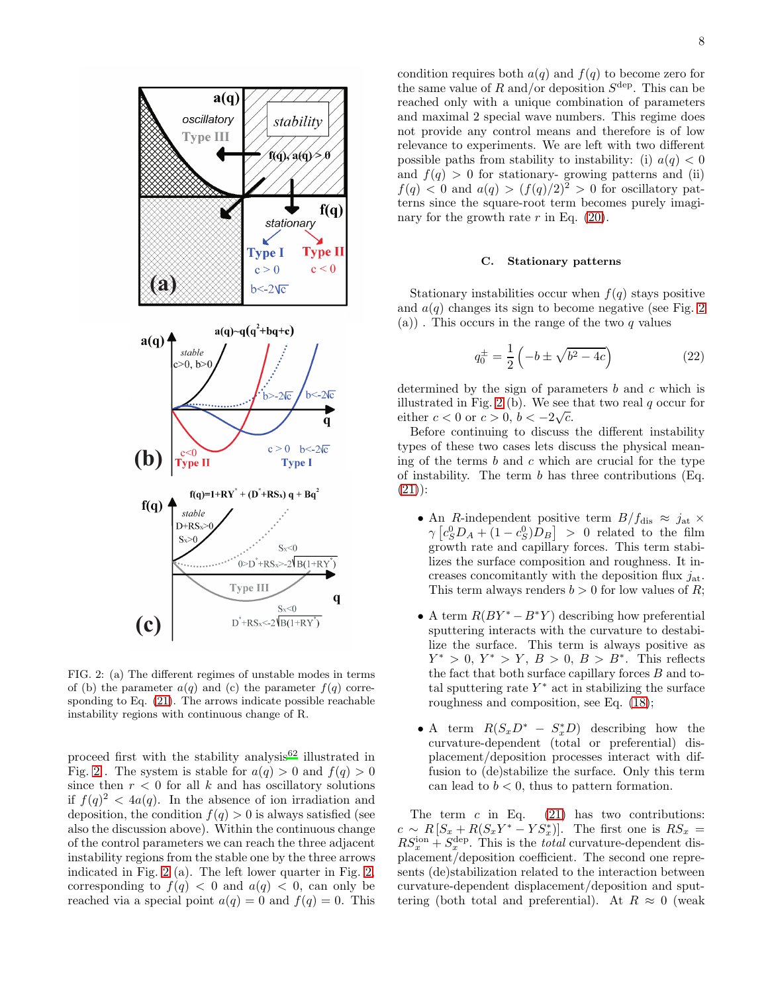

<span id="page-7-0"></span>FIG. 2: (a) The different regimes of unstable modes in terms of (b) the parameter  $a(q)$  and (c) the parameter  $f(q)$  corresponding to Eq. [\(21\)](#page-6-1). The arrows indicate possible reachable instability regions with continuous change of R.

proceed first with the stability analysis $62$  illustrated in Fig. [2](#page-7-0). The system is stable for  $a(q) > 0$  and  $f(q) > 0$ since then  $r < 0$  for all k and has oscillatory solutions if  $f(q)^2 < 4a(q)$ . In the absence of ion irradiation and deposition, the condition  $f(q) > 0$  is always satisfied (see also the discussion above). Within the continuous change of the control parameters we can reach the three adjacent instability regions from the stable one by the three arrows indicated in Fig. [2](#page-7-0) (a). The left lower quarter in Fig. [2,](#page-7-0) corresponding to  $f(q) < 0$  and  $a(q) < 0$ , can only be reached via a special point  $a(q) = 0$  and  $f(q) = 0$ . This

condition requires both  $a(q)$  and  $f(q)$  to become zero for the same value of R and/or deposition  $S^{\text{dep}}$ . This can be reached only with a unique combination of parameters and maximal 2 special wave numbers. This regime does not provide any control means and therefore is of low relevance to experiments. We are left with two different possible paths from stability to instability: (i)  $a(q) < 0$ and  $f(q) > 0$  for stationary-growing patterns and (ii)  $f(q) < 0$  and  $a(q) > (f(q)/2)^2 > 0$  for oscillatory patterns since the square-root term becomes purely imaginary for the growth rate  $r$  in Eq. [\(20\)](#page-6-2).

# C. Stationary patterns

Stationary instabilities occur when  $f(q)$  stays positive and  $a(q)$  changes its sign to become negative (see Fig. [2](#page-7-0)) (a)). This occurs in the range of the two  $q$  values

<span id="page-7-1"></span>
$$
q_0^{\pm} = \frac{1}{2} \left( -b \pm \sqrt{b^2 - 4c} \right) \tag{22}
$$

determined by the sign of parameters  $b$  and  $c$  which is illustrated in Fig. [2](#page-7-0) (b). We see that two real  $q$  occur for either  $c < 0$  or  $c > 0$ ,  $b < -2\sqrt{c}$ .

Before continuing to discuss the different instability types of these two cases lets discuss the physical meaning of the terms  $b$  and  $c$  which are crucial for the type of instability. The term  $b$  has three contributions (Eq.  $(21)$ :

- An R-independent positive term  $B/f_{\text{dis}} \approx j_{\text{at}} \times$  $\gamma \left[ c_S^0 D_A + (1 - c_S^0) D_B \right] > 0$  related to the film growth rate and capillary forces. This term stabilizes the surface composition and roughness. It increases concomitantly with the deposition flux  $j_{\text{at}}$ . This term always renders  $b > 0$  for low values of R;
- A term  $R(BY^* B^*Y)$  describing how preferential sputtering interacts with the curvature to destabilize the surface. This term is always positive as  $Y^* > 0, Y^* > Y, B > 0, B > B^*$ . This reflects the fact that both surface capillary forces  $B$  and total sputtering rate  $Y^*$  act in stabilizing the surface roughness and composition, see Eq. [\(18\)](#page-5-3);
- A term  $R(S_x D^* S_x^* D)$  describing how the curvature-dependent (total or preferential) displacement/deposition processes interact with diffusion to (de)stabilize the surface. Only this term can lead to  $b < 0$ , thus to pattern formation.

The term  $c$  in Eq.  $(21)$  has two contributions:  $c \sim R\left[S_x + R(S_xY^* - YS_x^*)\right]$ . The first one is  $RS_x =$  $RS_x^{\text{ion}} + S_x^{\text{dep}}$ . This is the *total* curvature-dependent displacement/deposition coefficient. The second one represents (de)stabilization related to the interaction between curvature-dependent displacement/deposition and sputtering (both total and preferential). At  $R \approx 0$  (weak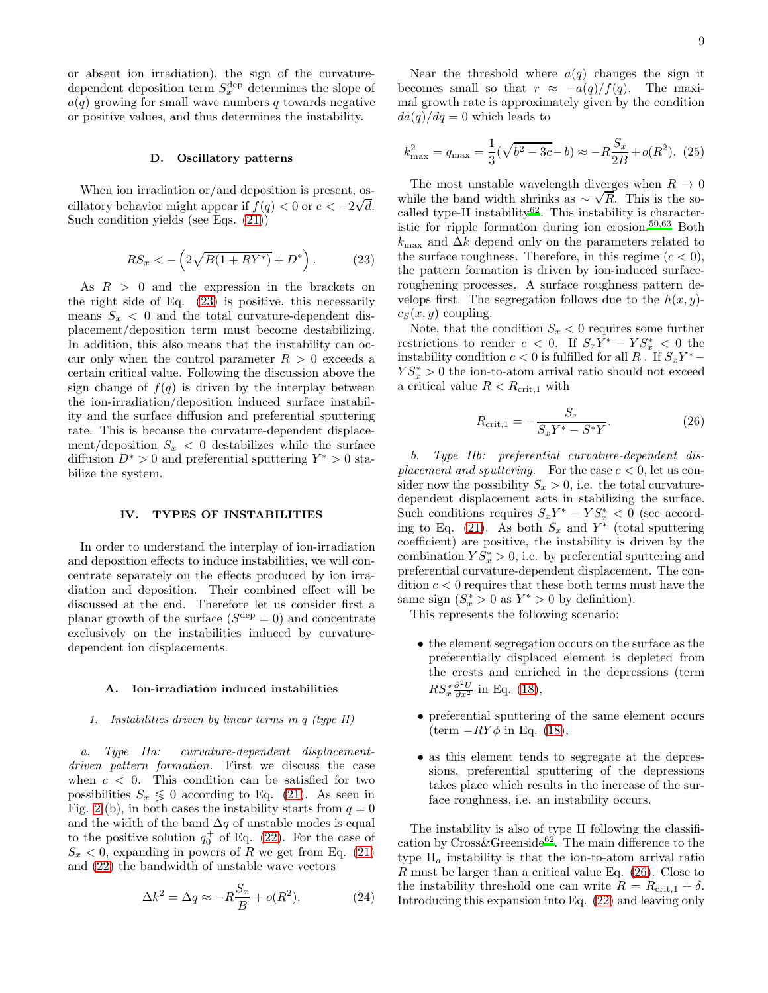or absent ion irradiation), the sign of the curvaturedependent deposition term  $S_x^{\text{dep}}$  determines the slope of  $a(q)$  growing for small wave numbers q towards negative or positive values, and thus determines the instability.

### D. Oscillatory patterns

When ion irradiation or/and deposition is present, oscillatory behavior might appear if  $f(q) < 0$  or  $e < -2\sqrt{d}$ . Such condition yields (see Eqs. [\(21\)](#page-6-1))

<span id="page-8-0"></span>
$$
RS_x < -\left(2\sqrt{B(1+RY^*)} + D^*\right). \tag{23}
$$

As  $R > 0$  and the expression in the brackets on the right side of Eq. [\(23\)](#page-8-0) is positive, this necessarily means  $S_x < 0$  and the total curvature-dependent displacement/deposition term must become destabilizing. In addition, this also means that the instability can occur only when the control parameter  $R > 0$  exceeds a certain critical value. Following the discussion above the sign change of  $f(q)$  is driven by the interplay between the ion-irradiation/deposition induced surface instability and the surface diffusion and preferential sputtering rate. This is because the curvature-dependent displacement/deposition  $S_x < 0$  destabilizes while the surface diffusion  $D^* > 0$  and preferential sputtering  $Y^* > 0$  stabilize the system.

# IV. TYPES OF INSTABILITIES

In order to understand the interplay of ion-irradiation and deposition effects to induce instabilities, we will concentrate separately on the effects produced by ion irradiation and deposition. Their combined effect will be discussed at the end. Therefore let us consider first a planar growth of the surface  $(S^{\text{dep}} = 0)$  and concentrate exclusively on the instabilities induced by curvaturedependent ion displacements.

### <span id="page-8-4"></span>A. Ion-irradiation induced instabilities

### *1. Instabilities driven by linear terms in* q *(type II)*

a. Type IIa: curvature-dependent displacementdriven pattern formation. First we discuss the case when  $c < 0$ . This condition can be satisfied for two possibilities  $S_x \leq 0$  according to Eq. [\(21\)](#page-6-1). As seen in Fig. [2](#page-7-0) (b), in both cases the instability starts from  $q = 0$ and the width of the band  $\Delta q$  of unstable modes is equal to the positive solution  $q_0^+$  of Eq. [\(22\)](#page-7-1). For the case of  $S_x < 0$ , expanding in powers of R we get from Eq. [\(21\)](#page-6-1) and [\(22\)](#page-7-1) the bandwidth of unstable wave vectors

<span id="page-8-2"></span>
$$
\Delta k^2 = \Delta q \approx -R\frac{S_x}{B} + o(R^2). \tag{24}
$$

Near the threshold where  $a(q)$  changes the sign it becomes small so that  $r \approx -a(q)/f(q)$ . The maximal growth rate is approximately given by the condition  $da(q)/dq = 0$  which leads to

<span id="page-8-3"></span>
$$
k_{\text{max}}^2 = q_{\text{max}} = \frac{1}{3}(\sqrt{b^2 - 3c} - b) \approx -R\frac{S_x}{2B} + o(R^2). \tag{25}
$$

The most unstable wavelength diverges when  $R \to 0$ while the band width shrinks as  $\sim \sqrt{R}$ . This is the socalled t[y](#page-18-36)pe-II instability<sup>62</sup>. This instability is characteristic for ripple formation during ion erosion.[50](#page-18-33)[,63](#page-18-37) Both  $k_{\text{max}}$  and  $\Delta k$  depend only on the parameters related to the surface roughness. Therefore, in this regime  $(c < 0)$ , the pattern formation is driven by ion-induced surfaceroughening processes. A surface roughness pattern develops first. The segregation follows due to the  $h(x, y)$  $c_S(x, y)$  coupling.

Note, that the condition  $S_x < 0$  requires some further restrictions to render  $c < 0$ . If  $S_x Y^* - Y S_x^* < 0$  the instability condition  $c < 0$  is fulfilled for all  $R \cdot \text{If } S_x Y^* YS^*_x > 0$  the ion-to-atom arrival ratio should not exceed a critical value  $R < R_{\text{crit},1}$  with

<span id="page-8-1"></span>
$$
R_{\rm crit,1} = -\frac{S_x}{S_x Y^* - S^* Y}.
$$
\n(26)

b. Type IIb: preferential curvature-dependent displacement and sputtering. For the case  $c < 0$ , let us consider now the possibility  $S_x > 0$ , i.e. the total curvaturedependent displacement acts in stabilizing the surface. Such conditions requires  $S_x Y^* - Y S_x^* < 0$  (see accord-ing to Eq. [\(21\)](#page-6-1). As both  $S_x$  and  $Y^*$  (total sputtering coefficient) are positive, the instability is driven by the combination  $Y \dot{S}_x^* > 0$ , i.e. by preferential sputtering and preferential curvature-dependent displacement. The condition  $c < 0$  requires that these both terms must have the same sign  $(S_x^* > 0$  as  $Y^* > 0$  by definition).

This represents the following scenario:

- the element segregation occurs on the surface as the preferentially displaced element is depleted from the crests and enriched in the depressions (term  $RS_x^* \frac{\partial^2 U}{\partial x^2}$  in Eq. [\(18\)](#page-5-3),
- preferential sputtering of the same element occurs  $(\text{term} - RY\phi \text{ in Eq. (18)}),$  $(\text{term} - RY\phi \text{ in Eq. (18)}),$  $(\text{term} - RY\phi \text{ in Eq. (18)}),$
- as this element tends to segregate at the depressions, preferential sputtering of the depressions takes place which results in the increase of the surface roughness, i.e. an instability occurs.

The instability is also of type II following the classification by  $Cross\&Greenside^{62}$  $Cross\&Greenside^{62}$  $Cross\&Greenside^{62}$ . The main difference to the type  $II_a$  instability is that the ion-to-atom arrival ratio R must be larger than a critical value Eq. [\(26\)](#page-8-1). Close to the instability threshold one can write  $R = R_{\text{crit},1} + \delta$ . Introducing this expansion into Eq. [\(22\)](#page-7-1) and leaving only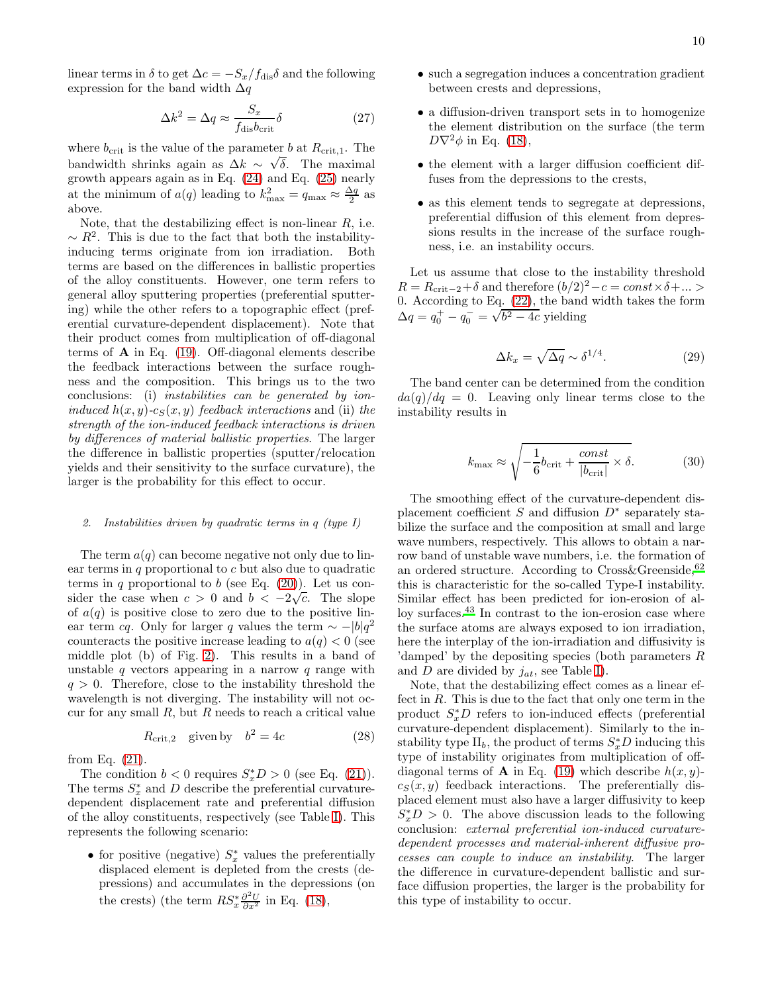linear terms in  $\delta$  to get  $\Delta c = -S_x/f_{\text{dis}}\delta$  and the following expression for the band width  $\Delta q$ 

$$
\Delta k^2 = \Delta q \approx \frac{S_x}{f_{\text{dis}} b_{\text{crit}}} \delta \tag{27}
$$

where  $b_{\rm crit}$  is the value of the parameter b at  $R_{\rm crit,1}$ . The bandwidth shrinks again as  $\Delta k \sim \sqrt{\delta}$ . The maximal growth appears again as in Eq. [\(24\)](#page-8-2) and Eq. [\(25\)](#page-8-3) nearly at the minimum of  $a(q)$  leading to  $k_{\text{max}}^2 = q_{\text{max}} \approx \frac{\Delta q}{2}$  as above.

Note, that the destabilizing effect is non-linear  $R$ , i.e.  $\sim R^2$ . This is due to the fact that both the instabilityinducing terms originate from ion irradiation. Both terms are based on the differences in ballistic properties of the alloy constituents. However, one term refers to general alloy sputtering properties (preferential sputtering) while the other refers to a topographic effect (preferential curvature-dependent displacement). Note that their product comes from multiplication of off-diagonal terms of  $\bf{A}$  in Eq. [\(19\)](#page-6-3). Off-diagonal elements describe the feedback interactions between the surface roughness and the composition. This brings us to the two conclusions: (i) instabilities can be generated by ioninduced  $h(x, y)$ -cs $(x, y)$  feedback interactions and (ii) the strength of the ion-induced feedback interactions is driven by differences of material ballistic properties. The larger the difference in ballistic properties (sputter/relocation yields and their sensitivity to the surface curvature), the larger is the probability for this effect to occur.

# *2. Instabilities driven by quadratic terms in* q *(type I)*

The term  $a(q)$  can become negative not only due to linear terms in  $q$  proportional to  $c$  but also due to quadratic terms in q proportional to b (see Eq.  $(20)$ ). Let us consider the case when  $c > 0$  and  $b < -2\sqrt{c}$ . The slope of  $a(q)$  is positive close to zero due to the positive linear term *cq*. Only for larger q values the term  $\sim -|b|q^2$ counteracts the positive increase leading to  $a(q) < 0$  (see middle plot (b) of Fig. [2\)](#page-7-0). This results in a band of unstable q vectors appearing in a narrow q range with  $q > 0$ . Therefore, close to the instability threshold the wavelength is not diverging. The instability will not occur for any small  $R$ , but  $R$  needs to reach a critical value

<span id="page-9-1"></span>
$$
R_{\rm crit,2} \quad \text{given by} \quad b^2 = 4c \tag{28}
$$

from Eq. [\(21\)](#page-6-1).

The condition  $b < 0$  requires  $S_x^* D > 0$  (see Eq. [\(21\)](#page-6-1)). The terms  $S_x^*$  and D describe the preferential curvaturedependent displacement rate and preferential diffusion of the alloy constituents, respectively (see Table [I\)](#page-6-0). This represents the following scenario:

• for positive (negative)  $S_x^*$  values the preferentially displaced element is depleted from the crests (depressions) and accumulates in the depressions (on the crests) (the term  $RS_x^* \frac{\partial^2 U}{\partial x^2}$  in Eq. [\(18\)](#page-5-3),

- such a segregation induces a concentration gradient between crests and depressions,
- a diffusion-driven transport sets in to homogenize the element distribution on the surface (the term  $D\nabla^2\phi$  in Eq. [\(18\)](#page-5-3),
- the element with a larger diffusion coefficient diffuses from the depressions to the crests,
- as this element tends to segregate at depressions, preferential diffusion of this element from depressions results in the increase of the surface roughness, i.e. an instability occurs.

Let us assume that close to the instability threshold  $R = R_{\text{crit}-2} + \delta$  and therefore  $(b/2)^2 - c = const \times \delta + ...$ 0. According to Eq. [\(22\)](#page-7-1), the band width takes the form  $\Delta q = q_0^+ - q_0^- = \sqrt{b^2 - 4c}$  yielding

$$
\Delta k_x = \sqrt{\Delta q} \sim \delta^{1/4}.\tag{29}
$$

The band center can be determined from the condition  $da(q)/dq = 0$ . Leaving only linear terms close to the instability results in

<span id="page-9-0"></span>
$$
k_{\text{max}} \approx \sqrt{-\frac{1}{6}b_{\text{crit}} + \frac{\text{const}}{|b_{\text{crit}}|} \times \delta}.
$$
 (30)

The smoothing effect of the curvature-dependent displacement coefficient S and diffusion  $D^*$  separately stabilize the surface and the composition at small and large wave numbers, respectively. This allows to obtain a narrow band of unstable wave numbers, i.e. the formation of an ordered structure. According to  $Cross\&Greenside, 62$  $Cross\&Greenside, 62$ this is characteristic for the so-called Type-I instability. Similar effect has been predicted for ion-erosion of alloy surfaces.[43](#page-18-18) In contrast to the ion-erosion case where the surface atoms are always exposed to ion irradiation, here the interplay of the ion-irradiation and diffusivity is 'damped' by the depositing species (both parameters R and D are divided by  $j_{at}$ , see Table [I\)](#page-6-0).

Note, that the destabilizing effect comes as a linear effect in  $R$ . This is due to the fact that only one term in the product  $S_x^*D$  refers to ion-induced effects (preferential curvature-dependent displacement). Similarly to the instability type  $II_b$ , the product of terms  $S_x^* D$  inducing this type of instability originates from multiplication of offdiagonal terms of **A** in Eq. [\(19\)](#page-6-3) which describe  $h(x, y)$  $c_S(x, y)$  feedback interactions. The preferentially displaced element must also have a larger diffusivity to keep  $S_x^* D > 0$ . The above discussion leads to the following conclusion: external preferential ion-induced curvaturedependent processes and material-inherent diffusive processes can couple to induce an instability. The larger the difference in curvature-dependent ballistic and surface diffusion properties, the larger is the probability for this type of instability to occur.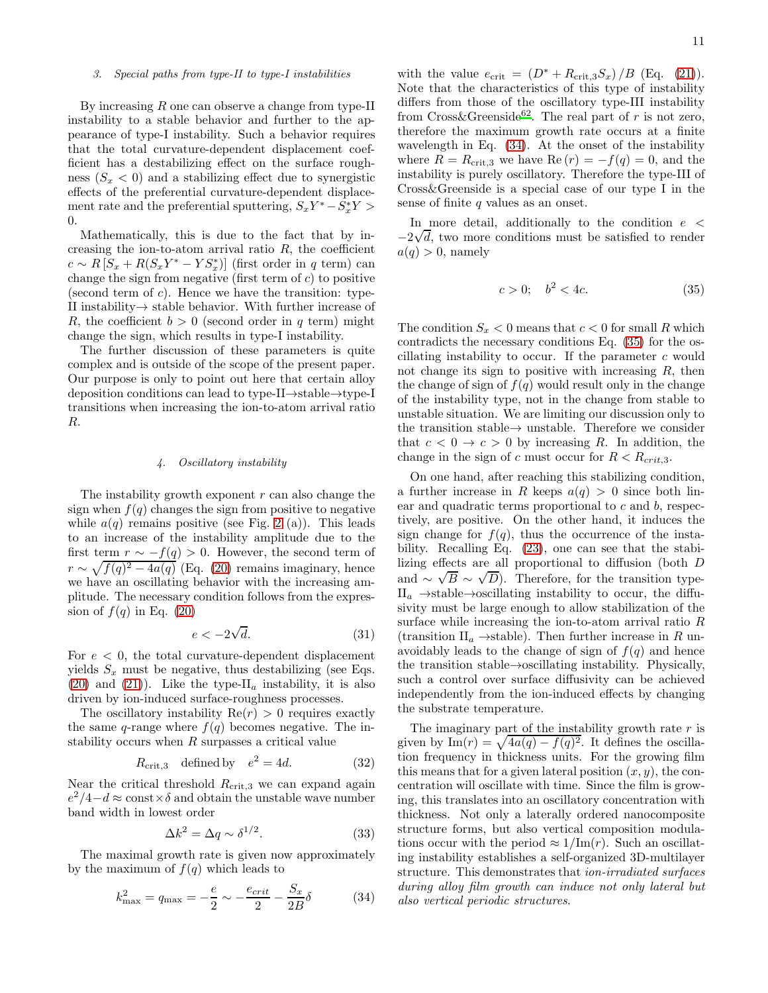### *3. Special paths from type-II to type-I instabilities*

By increasing R one can observe a change from type-II instability to a stable behavior and further to the appearance of type-I instability. Such a behavior requires that the total curvature-dependent displacement coefficient has a destabilizing effect on the surface roughness  $(S_x < 0)$  and a stabilizing effect due to synergistic effects of the preferential curvature-dependent displacement rate and the preferential sputtering,  $S_x Y^* - \tilde{S}_x^* Y >$ 0.

Mathematically, this is due to the fact that by increasing the ion-to-atom arrival ratio  $R$ , the coefficient  $c \sim R\left[S_x + R(S_xY^* - YS_x^*)\right]$  (first order in q term) can change the sign from negative (first term of  $c$ ) to positive (second term of  $c$ ). Hence we have the transition: type-II instability→ stable behavior. With further increase of R, the coefficient  $b > 0$  (second order in q term) might change the sign, which results in type-I instability.

The further discussion of these parameters is quite complex and is outside of the scope of the present paper. Our purpose is only to point out here that certain alloy deposition conditions can lead to type-II→stable→type-I transitions when increasing the ion-to-atom arrival ratio R.

# *4. Oscillatory instability*

The instability growth exponent  $r$  can also change the sign when  $f(q)$  changes the sign from positive to negative while  $a(q)$  remains positive (see Fig. [2](#page-7-0) (a)). This leads to an increase of the instability amplitude due to the first term  $r \sim -f(q) > 0$ . However, the second term of  $r \sim \sqrt{f(q)^2 - 4a(q)}$  (Eq. [\(20\)](#page-6-2) remains imaginary, hence we have an oscillating behavior with the increasing amplitude. The necessary condition follows from the expression of  $f(q)$  in Eq. [\(20\)](#page-6-2)

$$
e < -2\sqrt{d}.\tag{31}
$$

For  $e < 0$ , the total curvature-dependent displacement yields  $S_x$  must be negative, thus destabilizing (see Eqs.  $(20)$  and  $(21)$ ). Like the type-II<sub>a</sub> instability, it is also driven by ion-induced surface-roughness processes.

The oscillatory instability  $Re(r) > 0$  requires exactly the same q-range where  $f(q)$  becomes negative. The instability occurs when  $R$  surpasses a critical value

<span id="page-10-2"></span>
$$
R_{\rm crit,3} \quad \text{defined by} \quad e^2 = 4d. \tag{32}
$$

Near the critical threshold  $R_{\text{crit,3}}$  we can expand again  $e^2/4-d \approx \text{const} \times \delta$  and obtain the unstable wave number band width in lowest order

$$
\Delta k^2 = \Delta q \sim \delta^{1/2}.
$$
 (33)

The maximal growth rate is given now approximately by the maximum of  $f(q)$  which leads to

<span id="page-10-0"></span>
$$
k_{\text{max}}^2 = q_{\text{max}} = -\frac{e}{2} \sim -\frac{e_{crit}}{2} - \frac{S_x}{2B} \delta \tag{34}
$$

with the value  $e_{\rm crit} = (D^* + R_{\rm crit,3}S_x)/B$  (Eq. [\(21\)](#page-6-1)). Note that the characteristics of this type of instability differs from those of the oscillatory type-III instability from Cross&Greenside<sup>[62](#page-18-36)</sup>. The real part of r is not zero, therefore the maximum growth rate occurs at a finite wavelength in Eq. [\(34\)](#page-10-0). At the onset of the instability where  $R = R_{\text{crit,3}}$  we have  $\text{Re}(r) = -f(q) = 0$ , and the instability is purely oscillatory. Therefore the type-III of Cross&Greenside is a special case of our type I in the sense of finite q values as an onset.

In more detail, additionally to the condition  $e <$  $-2\sqrt{d}$ , two more conditions must be satisfied to render  $a(q) > 0$ , namely

<span id="page-10-1"></span>
$$
c > 0; \quad b^2 < 4c. \tag{35}
$$

The condition  $S_x < 0$  means that  $c < 0$  for small R which contradicts the necessary conditions Eq. [\(35\)](#page-10-1) for the oscillating instability to occur. If the parameter c would not change its sign to positive with increasing  $R$ , then the change of sign of  $f(q)$  would result only in the change of the instability type, not in the change from stable to unstable situation. We are limiting our discussion only to the transition stable $\rightarrow$  unstable. Therefore we consider that  $c < 0 \rightarrow c > 0$  by increasing R. In addition, the change in the sign of c must occur for  $R < R_{crit,3}$ .

On one hand, after reaching this stabilizing condition, a further increase in R keeps  $a(q) > 0$  since both linear and quadratic terms proportional to  $c$  and  $b$ , respectively, are positive. On the other hand, it induces the sign change for  $f(q)$ , thus the occurrence of the instability. Recalling Eq. [\(23\)](#page-8-0), one can see that the stabilizing effects are all proportional to diffusion (both D and  $\sim \sqrt{B} \sim \sqrt{D}$ ). Therefore, for the transition type- $II_a \rightarrow$ stable→oscillating instability to occur, the diffusivity must be large enough to allow stabilization of the surface while increasing the ion-to-atom arrival ratio R (transition  $II_a \rightarrow$ stable). Then further increase in R unavoidably leads to the change of sign of  $f(q)$  and hence the transition stable→oscillating instability. Physically, such a control over surface diffusivity can be achieved independently from the ion-induced effects by changing the substrate temperature.

The imaginary part of the instability growth rate  $r$  is given by Im $(r) = \sqrt{4a(q) - f(q)^2}$ . It defines the oscillation frequency in thickness units. For the growing film this means that for a given lateral position  $(x, y)$ , the concentration will oscillate with time. Since the film is growing, this translates into an oscillatory concentration with thickness. Not only a laterally ordered nanocomposite structure forms, but also vertical composition modulations occur with the period  $\approx 1/\mathrm{Im}(r)$ . Such an oscillating instability establishes a self-organized 3D-multilayer structure. This demonstrates that ion-irradiated surfaces during alloy film growth can induce not only lateral but also vertical periodic structures.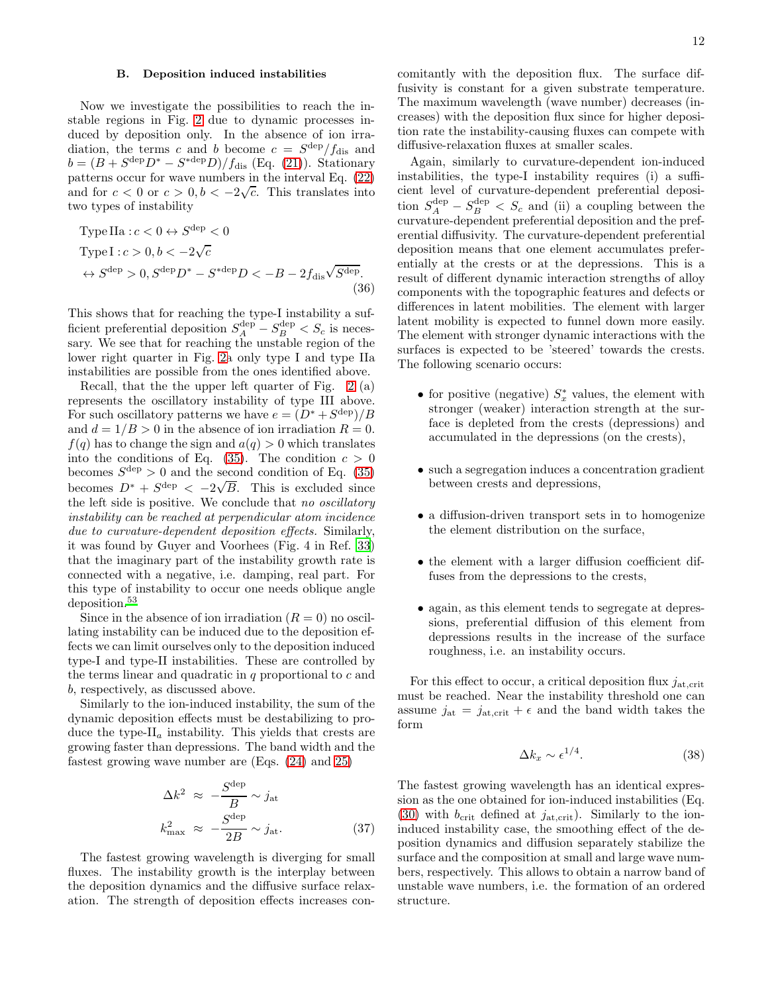12

# B. Deposition induced instabilities

Now we investigate the possibilities to reach the instable regions in Fig. [2](#page-7-0) due to dynamic processes induced by deposition only. In the absence of ion irradiation, the terms c and b become  $c = S^{\text{dep}}/f_{\text{dis}}$  and  $b = (B + S^{\text{dep}}D^* - S^{\text{step}}D)/f_{\text{dis}}$  (Eq. [\(21\)](#page-6-1)). Stationary patterns occur for wave numbers in the interval Eq. [\(22\)](#page-7-1) and for  $c < 0$  or  $c > 0, b < -2\sqrt{c}$ . This translates into two types of instability

Type IIa : 
$$
c < 0 \leftrightarrow S^{\text{dep}} < 0
$$
  
\nType I :  $c > 0, b < -2\sqrt{c}$   
\n $\leftrightarrow S^{\text{dep}} > 0, S^{\text{dep}}D^* - S^{*\text{dep}}D < -B - 2f_{\text{dis}}\sqrt{S^{\text{dep}}}. \tag{36}$ 

This shows that for reaching the type-I instability a sufficient preferential deposition  $S_A^{\text{dep}} - S_B^{\text{dep}} < S_c$  is necessary. We see that for reaching the unstable region of the lower right quarter in Fig. [2a](#page-7-0) only type I and type IIa instabilities are possible from the ones identified above.

Recall, that the the upper left quarter of Fig. [2](#page-7-0) (a) represents the oscillatory instability of type III above. For such oscillatory patterns we have  $e = (D^* + S^{\text{dep}})/B$ and  $d = 1/B > 0$  in the absence of ion irradiation  $R = 0$ .  $f(q)$  has to change the sign and  $a(q) > 0$  which translates into the conditions of Eq. [\(35\)](#page-10-1). The condition  $c > 0$ becomes  $S^{\text{dep}} > 0$  and the second condition of Eq. [\(35\)](#page-10-1) becomes  $D^* + S^{\text{dep}} < -2\sqrt{B}$ . This is excluded since the left side is positive. We conclude that no oscillatory instability can be reached at perpendicular atom incidence due to curvature-dependent deposition effects. Similarly, it was found by Guyer and Voorhees (Fig. 4 in Ref. [33](#page-18-38)) that the imaginary part of the instability growth rate is connected with a negative, i.e. damping, real part. For this type of instability to occur one needs oblique angle deposition.[53](#page-18-24)

Since in the absence of ion irradiation  $(R = 0)$  no oscillating instability can be induced due to the deposition effects we can limit ourselves only to the deposition induced type-I and type-II instabilities. These are controlled by the terms linear and quadratic in  $q$  proportional to  $c$  and b, respectively, as discussed above.

Similarly to the ion-induced instability, the sum of the dynamic deposition effects must be destabilizing to produce the type- $II_a$  instability. This yields that crests are growing faster than depressions. The band width and the fastest growing wave number are (Eqs. [\(24\)](#page-8-2) and [25\)](#page-8-3)

$$
\Delta k^2 \approx -\frac{S^{\text{dep}}}{B} \sim j_{\text{at}}
$$

$$
k_{\text{max}}^2 \approx -\frac{S^{\text{dep}}}{2B} \sim j_{\text{at}}.
$$
 (37)

The fastest growing wavelength is diverging for small fluxes. The instability growth is the interplay between the deposition dynamics and the diffusive surface relaxation. The strength of deposition effects increases concomitantly with the deposition flux. The surface diffusivity is constant for a given substrate temperature. The maximum wavelength (wave number) decreases (increases) with the deposition flux since for higher deposition rate the instability-causing fluxes can compete with diffusive-relaxation fluxes at smaller scales.

Again, similarly to curvature-dependent ion-induced instabilities, the type-I instability requires (i) a sufficient level of curvature-dependent preferential deposition  $S_A^{\text{dep}} - S_B^{\text{dep}} < S_c$  and (ii) a coupling between the curvature-dependent preferential deposition and the preferential diffusivity. The curvature-dependent preferential deposition means that one element accumulates preferentially at the crests or at the depressions. This is a result of different dynamic interaction strengths of alloy components with the topographic features and defects or differences in latent mobilities. The element with larger latent mobility is expected to funnel down more easily. The element with stronger dynamic interactions with the surfaces is expected to be 'steered' towards the crests. The following scenario occurs:

- for positive (negative)  $S_x^*$  values, the element with stronger (weaker) interaction strength at the surface is depleted from the crests (depressions) and accumulated in the depressions (on the crests),
- such a segregation induces a concentration gradient between crests and depressions,
- a diffusion-driven transport sets in to homogenize the element distribution on the surface,
- the element with a larger diffusion coefficient diffuses from the depressions to the crests,
- again, as this element tends to segregate at depressions, preferential diffusion of this element from depressions results in the increase of the surface roughness, i.e. an instability occurs.

For this effect to occur, a critical deposition flux  $j_{\text{at,crit}}$ must be reached. Near the instability threshold one can assume  $j_{\text{at}} = j_{\text{at,crit}} + \epsilon$  and the band width takes the form

$$
\Delta k_x \sim \epsilon^{1/4}.\tag{38}
$$

The fastest growing wavelength has an identical expression as the one obtained for ion-induced instabilities (Eq. [\(30\)](#page-9-0) with  $b_{\rm crit}$  defined at  $j_{\rm at, crit}$ ). Similarly to the ioninduced instability case, the smoothing effect of the deposition dynamics and diffusion separately stabilize the surface and the composition at small and large wave numbers, respectively. This allows to obtain a narrow band of unstable wave numbers, i.e. the formation of an ordered structure.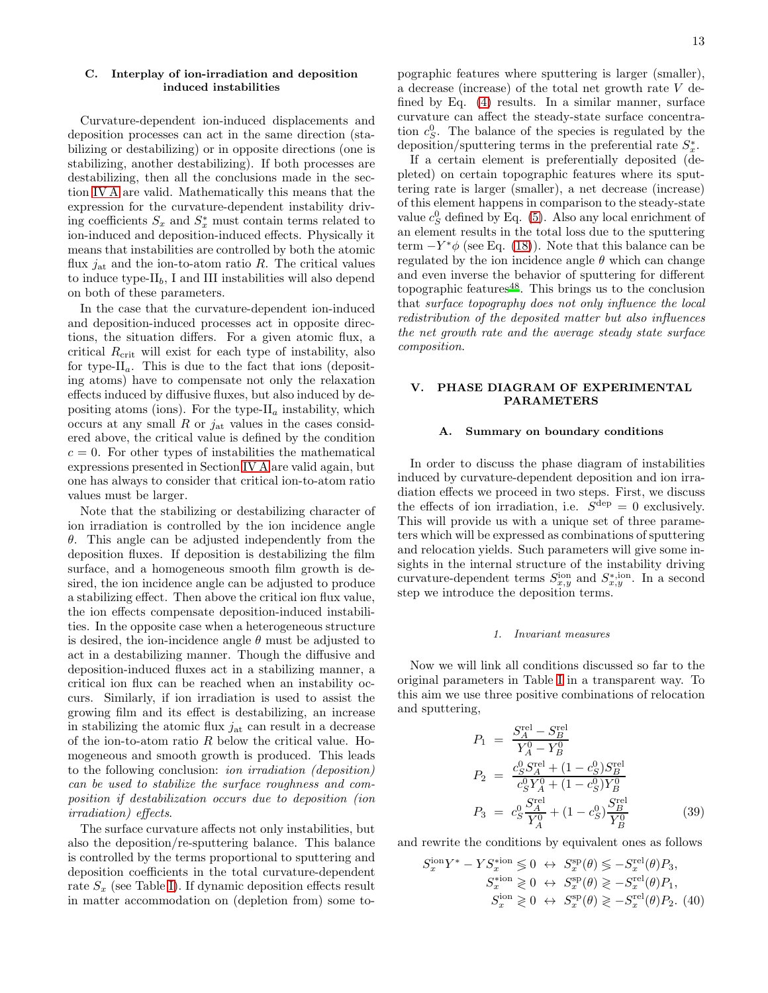# C. Interplay of ion-irradiation and deposition induced instabilities

Curvature-dependent ion-induced displacements and deposition processes can act in the same direction (stabilizing or destabilizing) or in opposite directions (one is stabilizing, another destabilizing). If both processes are destabilizing, then all the conclusions made in the section [IV A](#page-8-4) are valid. Mathematically this means that the expression for the curvature-dependent instability driving coefficients  $S_x$  and  $S_x^*$  must contain terms related to ion-induced and deposition-induced effects. Physically it means that instabilities are controlled by both the atomic flux  $j_{\rm at}$  and the ion-to-atom ratio R. The critical values to induce type- $II_b$ , I and III instabilities will also depend on both of these parameters.

In the case that the curvature-dependent ion-induced and deposition-induced processes act in opposite directions, the situation differs. For a given atomic flux, a critical  $R_{\text{crit}}$  will exist for each type of instability, also for type- $II_a$ . This is due to the fact that ions (depositing atoms) have to compensate not only the relaxation effects induced by diffusive fluxes, but also induced by depositing atoms (ions). For the type- $II_a$  instability, which occurs at any small  $R$  or  $j_{at}$  values in the cases considered above, the critical value is defined by the condition  $c = 0$ . For other types of instabilities the mathematical expressions presented in Section [IV A](#page-8-4) are valid again, but one has always to consider that critical ion-to-atom ratio values must be larger.

Note that the stabilizing or destabilizing character of ion irradiation is controlled by the ion incidence angle  $\theta$ . This angle can be adjusted independently from the deposition fluxes. If deposition is destabilizing the film surface, and a homogeneous smooth film growth is desired, the ion incidence angle can be adjusted to produce a stabilizing effect. Then above the critical ion flux value, the ion effects compensate deposition-induced instabilities. In the opposite case when a heterogeneous structure is desired, the ion-incidence angle  $\theta$  must be adjusted to act in a destabilizing manner. Though the diffusive and deposition-induced fluxes act in a stabilizing manner, a critical ion flux can be reached when an instability occurs. Similarly, if ion irradiation is used to assist the growing film and its effect is destabilizing, an increase in stabilizing the atomic flux  $j_{\text{at}}$  can result in a decrease of the ion-to-atom ratio  $R$  below the critical value. Homogeneous and smooth growth is produced. This leads to the following conclusion: ion irradiation (deposition) can be used to stabilize the surface roughness and composition if destabilization occurs due to deposition (ion irradiation) effects.

The surface curvature affects not only instabilities, but also the deposition/re-sputtering balance. This balance is controlled by the terms proportional to sputtering and deposition coefficients in the total curvature-dependent rate  $S_x$  (see Table [I\)](#page-6-0). If dynamic deposition effects result in matter accommodation on (depletion from) some topographic features where sputtering is larger (smaller), a decrease (increase) of the total net growth rate V defined by Eq. [\(4\)](#page-3-1) results. In a similar manner, surface curvature can affect the steady-state surface concentration  $c_S^0$ . The balance of the species is regulated by the deposition/sputtering terms in the preferential rate  $S_x^*$ .

If a certain element is preferentially deposited (depleted) on certain topographic features where its sputtering rate is larger (smaller), a net decrease (increase) of this element happens in comparison to the steady-state value  $c_S^0$  defined by Eq. [\(5\)](#page-3-3). Also any local enrichment of an element results in the total loss due to the sputtering term  $-Y^*\phi$  (see Eq. [\(18\)](#page-5-3)). Note that this balance can be regulated by the ion incidence angle  $\theta$  which can change and even inverse the behavior of sputtering for different topographic features $48$ . This brings us to the conclusion that surface topography does not only influence the local redistribution of the deposited matter but also influences the net growth rate and the average steady state surface composition.

# PHASE DIAGRAM OF EXPERIMENTAL PARAMETERS

### A. Summary on boundary conditions

In order to discuss the phase diagram of instabilities induced by curvature-dependent deposition and ion irradiation effects we proceed in two steps. First, we discuss the effects of ion irradiation, i.e.  $S^{\text{dep}} = 0$  exclusively. This will provide us with a unique set of three parameters which will be expressed as combinations of sputtering and relocation yields. Such parameters will give some insights in the internal structure of the instability driving curvature-dependent terms  $S_{x,y}^{\text{ion}}$  and  $S_{x,y}^{*,\text{ion}}$ . In a second step we introduce the deposition terms.

### *1. Invariant measures*

Now we will link all conditions discussed so far to the original parameters in Table [I](#page-6-0) in a transparent way. To this aim we use three positive combinations of relocation and sputtering,

<span id="page-12-1"></span>
$$
P_1 = \frac{S_A^{\text{rel}} - S_B^{\text{rel}}}{Y_A^0 - Y_B^0}
$$
  
\n
$$
P_2 = \frac{c_S^0 S_A^{\text{rel}} + (1 - c_S^0) S_B^{\text{rel}}}{c_S^0 Y_A^0 + (1 - c_S^0) Y_B^0}
$$
  
\n
$$
P_3 = c_S^0 \frac{S_A^{\text{rel}}}{Y_A^0} + (1 - c_S^0) \frac{S_B^{\text{rel}}}{Y_B^0}
$$
(39)

and rewrite the conditions by equivalent ones as follows

<span id="page-12-0"></span>
$$
S_x^{\text{ion}}Y^* - Y S_x^{\text{ston}} \leq 0 \leftrightarrow S_x^{\text{sp}}(\theta) \leq -S_x^{\text{rel}}(\theta) P_3,
$$
  
\n
$$
S_x^{\text{ston}} \geq 0 \leftrightarrow S_x^{\text{sp}}(\theta) \geq -S_x^{\text{rel}}(\theta) P_1,
$$
  
\n
$$
S_x^{\text{ion}} \geq 0 \leftrightarrow S_x^{\text{sp}}(\theta) \geq -S_x^{\text{rel}}(\theta) P_2.
$$
 (40)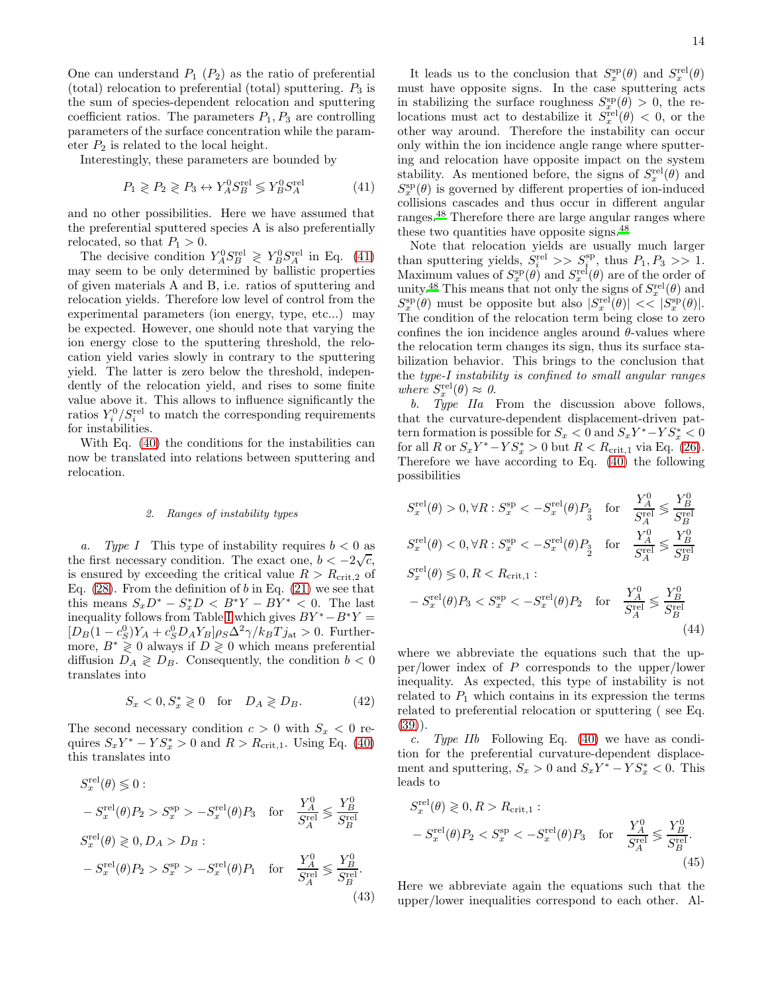One can understand  $P_1$   $(P_2)$  as the ratio of preferential (total) relocation to preferential (total) sputtering.  $P_3$  is the sum of species-dependent relocation and sputtering coefficient ratios. The parameters  $P_1, P_3$  are controlling parameters of the surface concentration while the parameter  $P_2$  is related to the local height.

Interestingly, these parameters are bounded by

<span id="page-13-0"></span>
$$
P_1 \geqslant P_2 \geqslant P_3 \leftrightarrow Y_A^0 S_B^{\text{rel}} \leqslant Y_B^0 S_A^{\text{rel}} \tag{41}
$$

and no other possibilities. Here we have assumed that the preferential sputtered species A is also preferentially relocated, so that  $P_1 > 0$ .

The decisive condition  $Y_A^0 S_B^{\text{rel}} \geq Y_B^0 S_A^{\text{rel}}$  in Eq. [\(41\)](#page-13-0) may seem to be only determined by ballistic properties of given materials A and B, i.e. ratios of sputtering and relocation yields. Therefore low level of control from the experimental parameters (ion energy, type, etc...) may be expected. However, one should note that varying the ion energy close to the sputtering threshold, the relocation yield varies slowly in contrary to the sputtering yield. The latter is zero below the threshold, independently of the relocation yield, and rises to some finite value above it. This allows to influence significantly the ratios  $Y_i^0/S_i^{\text{rel}}$  to match the corresponding requirements for instabilities.

With Eq. [\(40\)](#page-12-0) the conditions for the instabilities can now be translated into relations between sputtering and relocation.

### *2. Ranges of instability types*

a. Type I This type of instability requires  $b < 0$  as the first necessary condition. The exact one,  $b < -2\sqrt{c}$ , is ensured by exceeding the critical value  $R > R_{\text{crit},2}$  of Eq.  $(28)$ . From the definition of b in Eq.  $(21)$  we see that this means  $S_x D^* - S_x^* D < B^* Y - B Y^* < 0$ . The last inequality follows from Table [I](#page-6-0) which gives  $BY^* - B^*Y =$  $[D_B(1-c_S^0)Y_A + c_S^0D_AY_B]\rho_S\Delta^2\gamma/k_BTj_{\rm at} > 0.$  Furthermore,  $B^* \geq 0$  always if  $D \geq 0$  which means preferential diffusion  $D_A \geq D_B$ . Consequently, the condition  $b < 0$ translates into

$$
S_x < 0, S_x^* \geq 0 \quad \text{for} \quad D_A \geq D_B. \tag{42}
$$

The second necessary condition  $c > 0$  with  $S_x < 0$  requires  $S_x Y^* - Y S_x^* > 0$  and  $R > R_{\text{crit},1}$ . Using Eq. [\(40\)](#page-12-0) this translates into

$$
S_x^{\text{rel}}(\theta) \leq 0:
$$
  
\n
$$
-S_x^{\text{rel}}(\theta)P_2 > S_x^{\text{sp}} > -S_x^{\text{rel}}(\theta)P_3 \quad \text{for} \quad \frac{Y_A^0}{S_A^{\text{rel}}} \leq \frac{Y_B^0}{S_B^{\text{rel}}}
$$
  
\n
$$
S_x^{\text{rel}}(\theta) \geq 0, D_A > D_B:
$$
  
\n
$$
-S_x^{\text{rel}}(\theta)P_2 > S_x^{\text{sp}} > -S_x^{\text{rel}}(\theta)P_1 \quad \text{for} \quad \frac{Y_A^0}{S_A^{\text{rel}}} \leq \frac{Y_B^0}{S_B^{\text{rel}}}.
$$
  
\n(43)

It leads us to the conclusion that  $S_x^{\rm sp}(\theta)$  and  $S_x^{\rm rel}(\theta)$ must have opposite signs. In the case sputtering acts in stabilizing the surface roughness  $S_x^{\text{sp}}(\theta) > 0$ , the relocations must act to destabilize it  $S_x^{\text{rel}}(\theta) < 0$ , or the other way around. Therefore the instability can occur only within the ion incidence angle range where sputtering and relocation have opposite impact on the system stability. As mentioned before, the signs of  $S_x^{\text{rel}}(\theta)$  and  $S_x^{\text{sp}}(\theta)$  is governed by different properties of ion-induced collisions cascades and thus occur in different angular ranges.[48](#page-18-26) Therefore there are large angular ranges where these two quantities have opposite signs.<sup>[48](#page-18-26)</sup>

Note that relocation yields are usually much larger than sputtering yields,  $S_i^{\text{rel}} >> S_i^{\text{sp}}$ , thus  $P_1, P_3 >> 1$ . Maximum values of  $S_x^{\rm sp}(\theta)$  and  $S_x^{\rm rel}(\theta)$  are of the order of unity.<sup>[48](#page-18-26)</sup> This means that not only the signs of  $S_x^{\text{rel}}(\theta)$  and  $S_x^{\text{sp}}(\theta)$  must be opposite but also  $|S_x^{\text{rel}}(\theta)| \ll |S_x^{\text{sp}}(\theta)|$ . The condition of the relocation term being close to zero confines the ion incidence angles around  $\theta$ -values where the relocation term changes its sign, thus its surface stabilization behavior. This brings to the conclusion that the type-I instability is confined to small angular ranges where  $S_x^{\text{rel}}(\theta) \approx 0$ .

b. Type IIa From the discussion above follows, that the curvature-dependent displacement-driven pattern formation is possible for  $S_x < 0$  and  $S_x Y^* - Y S_x^* < 0$ for all R or  $S_x Y^* - Y S_x^* > 0$  but  $R < R_{\text{crit},1}$  via Eq. [\(26\)](#page-8-1). Therefore we have according to Eq. [\(40\)](#page-12-0) the following possibilities

$$
S_x^{\text{rel}}(\theta) > 0, \forall R: S_x^{\text{sp}} < -S_x^{\text{rel}}(\theta) P_{\frac{2}{3}} \quad \text{for} \quad \frac{Y_A^0}{S_A^{\text{rel}}} \leq \frac{Y_B^0}{S_B^{\text{rel}}}
$$
  
\n
$$
S_x^{\text{rel}}(\theta) < 0, \forall R: S_x^{\text{sp}} < -S_x^{\text{rel}}(\theta) P_{\frac{3}{2}} \quad \text{for} \quad \frac{Y_A^0}{S_A^{\text{rel}}} \leq \frac{Y_B^0}{S_B^{\text{rel}}}
$$
  
\n
$$
S_x^{\text{rel}}(\theta) \leq 0, R < R_{\text{crit},1} :
$$
  
\n
$$
-S_x^{\text{rel}}(\theta) P_{\frac{3}{2}} < S_x^{\text{sp}} < -S_x^{\text{rel}}(\theta) P_{\frac{2}{2}} \quad \text{for} \quad \frac{Y_A^0}{S_A^{\text{rel}}} \leq \frac{Y_B^0}{S_B^{\text{rel}}}
$$
  
\n(44)

<span id="page-13-2"></span>where we abbreviate the equations such that the upper/lower index of P corresponds to the upper/lower inequality. As expected, this type of instability is not related to  $P_1$  which contains in its expression the terms related to preferential relocation or sputtering ( see Eq. [\(39\)](#page-12-1)).

c. Type IIb Following Eq.  $(40)$  we have as condition for the preferential curvature-dependent displacement and sputtering,  $S_x > 0$  and  $S_x Y^* - Y S_x^* < 0$ . This leads to

<span id="page-13-3"></span>
$$
S_x^{\text{rel}}(\theta) \geq 0, R > R_{\text{crit},1}:
$$
  
- 
$$
S_x^{\text{rel}}(\theta)P_2 < S_x^{\text{sp}} < -S_x^{\text{rel}}(\theta)P_3 \quad \text{for} \quad \frac{Y_A^0}{S_A^{\text{rel}}} \leq \frac{Y_B^0}{S_B^{\text{rel}}}.
$$
(45)

<span id="page-13-1"></span>Here we abbreviate again the equations such that the upper/lower inequalities correspond to each other. Al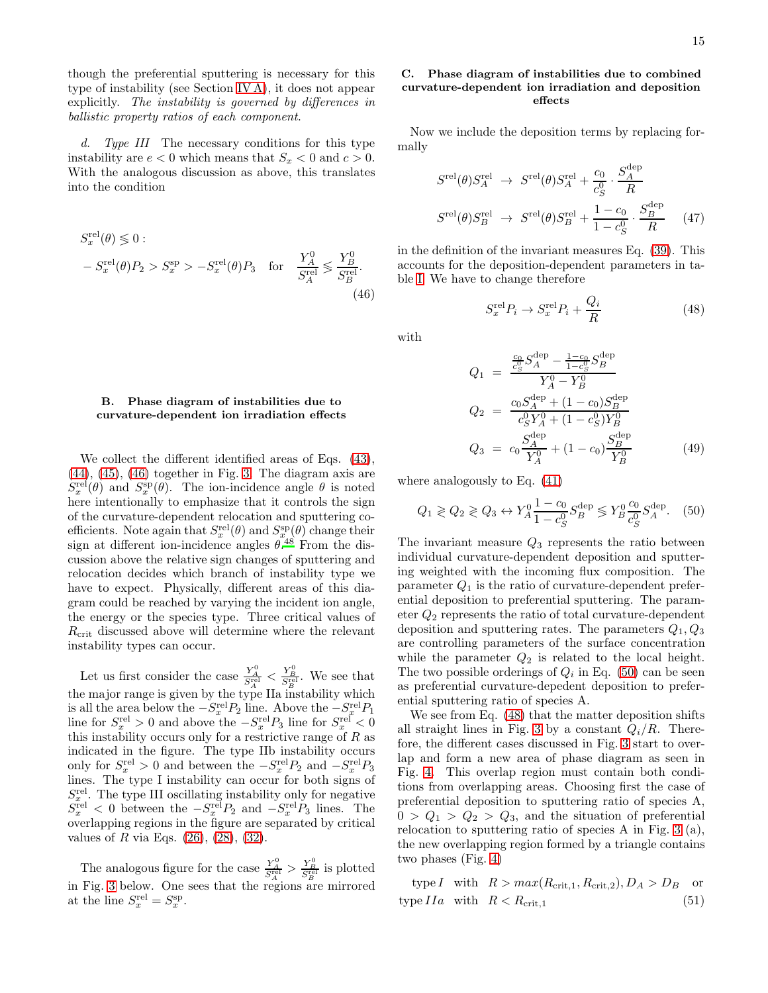though the preferential sputtering is necessary for this type of instability (see Section [IV A\)](#page-8-4), it does not appear explicitly. The instability is governed by differences in ballistic property ratios of each component.

d. Type III The necessary conditions for this type instability are  $e < 0$  which means that  $S_x < 0$  and  $c > 0$ . With the analogous discussion as above, this translates into the condition

$$
S_x^{\text{rel}}(\theta) \lessgtr 0:
$$
  
- 
$$
S_x^{\text{rel}}(\theta)P_2 > S_x^{\text{sp}} > -S_x^{\text{rel}}(\theta)P_3 \text{ for } \frac{Y_A^0}{S_A^{\text{rel}}} \lessgtr \frac{Y_B^0}{S_B^{\text{rel}}}.
$$
(46)

# B. Phase diagram of instabilities due to curvature-dependent ion irradiation effects

We collect the different identified areas of Eqs.  $(43)$ ,  $(44)$ ,  $(45)$ ,  $(46)$  together in Fig. [3.](#page-19-0) The diagram axis are  $S_x^{\text{rel}}(\theta)$  and  $S_x^{\text{sp}}(\theta)$ . The ion-incidence angle  $\theta$  is noted here intentionally to emphasize that it controls the sign of the curvature-dependent relocation and sputtering coefficients. Note again that  $S_x^{\text{rel}}(\theta)$  and  $S_{x}^{\text{sp}}(\theta)$  change their sign at different ion-incidence angles  $\theta$ .<sup>[48](#page-18-26)</sup> From the discussion above the relative sign changes of sputtering and relocation decides which branch of instability type we have to expect. Physically, different areas of this diagram could be reached by varying the incident ion angle, the energy or the species type. Three critical values of  $R_{\text{crit}}$  discussed above will determine where the relevant instability types can occur.

Let us first consider the case  $\frac{Y_A^0}{S_A^{rel}} < \frac{Y_B^0}{S_B^{rel}}$ . We see that the major range is given by the type IIa instability which is all the area below the  $-S_x^{\text{rel}}P_2$  line. Above the  $-S_x^{\text{rel}}P_1$ line for  $S_x^{\text{rel}} > 0$  and above the  $-S_x^{\text{rel}}P_3$  line for  $S_x^{\text{rel}} < 0$ this instability occurs only for a restrictive range of  $R$  as indicated in the figure. The type IIb instability occurs only for  $S_x^{\text{rel}} > 0$  and between the  $-S_x^{\text{rel}}P_2$  and  $-S_x^{\text{rel}}P_3$ lines. The type I instability can occur for both signs of  $S_x^{\text{rel}}$ . The type III oscillating instability only for negative  $S_x^{\text{rel}} < 0$  between the  $-S_x^{\text{rel}}P_2$  and  $-S_x^{\text{rel}}P_3$  lines. The overlapping regions in the figure are separated by critical values of R via Eqs.  $(26)$ ,  $(28)$ ,  $(32)$ .

The analogous figure for the case  $\frac{Y_A^0}{S_A^{rel}} > \frac{Y_B^0}{S_B^{rel}}$  is plotted in Fig. [3](#page-19-0) below. One sees that the regions are mirrored at the line  $S_x^{\text{rel}} = S_x^{\text{sp}}$ .

# C. Phase diagram of instabilities due to combined curvature-dependent ion irradiation and deposition effects

Now we include the deposition terms by replacing formally

$$
S^{\text{rel}}(\theta) S^{\text{rel}}_A \rightarrow S^{\text{rel}}(\theta) S^{\text{rel}}_A + \frac{c_0}{c_S^0} \cdot \frac{S^{\text{dep}}_A}{R}
$$

$$
S^{\text{rel}}(\theta) S^{\text{rel}}_B \rightarrow S^{\text{rel}}(\theta) S^{\text{rel}}_B + \frac{1 - c_0}{1 - c_S^0} \cdot \frac{S^{\text{dep}}_B}{R} \tag{47}
$$

<span id="page-14-0"></span>in the definition of the invariant measures Eq. [\(39\)](#page-12-1). This accounts for the deposition-dependent parameters in table [I.](#page-6-0) We have to change therefore

<span id="page-14-2"></span>
$$
S_x^{\text{rel}} P_i \to S_x^{\text{rel}} P_i + \frac{Q_i}{R}
$$
 (48)

with

<span id="page-14-3"></span>
$$
Q_1 = \frac{\frac{c_0}{c_S^0} S_A^{\text{dep}} - \frac{1 - c_0}{1 - c_S^0} S_B^{\text{dep}}}{Y_A^0 - Y_B^0}
$$
  
\n
$$
Q_2 = \frac{c_0 S_A^{\text{dep}} + (1 - c_0) S_B^{\text{dep}}}{c_S^0 Y_A^0 + (1 - c_S^0) Y_B^0}
$$
  
\n
$$
Q_3 = c_0 \frac{S_A^{\text{dep}}}{Y_A^0} + (1 - c_0) \frac{S_B^{\text{dep}}}{Y_B^0}
$$
(49)

where analogously to Eq. [\(41\)](#page-13-0)

<span id="page-14-1"></span>
$$
Q_1 \geq Q_2 \geq Q_3 \leftrightarrow Y_A^0 \frac{1 - c_0}{1 - c_S^0} S_B^{\text{dep}} \leq Y_B^0 \frac{c_0}{c_S^0} S_A^{\text{dep}}.
$$
 (50)

The invariant measure  $Q_3$  represents the ratio between individual curvature-dependent deposition and sputtering weighted with the incoming flux composition. The parameter  $Q_1$  is the ratio of curvature-dependent preferential deposition to preferential sputtering. The parameter  $Q_2$  represents the ratio of total curvature-dependent deposition and sputtering rates. The parameters  $Q_1, Q_3$ are controlling parameters of the surface concentration while the parameter  $Q_2$  is related to the local height. The two possible orderings of  $Q_i$  in Eq. [\(50\)](#page-14-1) can be seen as preferential curvature-depedent deposition to preferential sputtering ratio of species A.

We see from Eq. [\(48\)](#page-14-2) that the matter deposition shifts all straight lines in Fig. [3](#page-19-0) by a constant  $Q_i/R$ . Therefore, the different cases discussed in Fig. [3](#page-19-0) start to overlap and form a new area of phase diagram as seen in Fig. [4.](#page-20-0) This overlap region must contain both conditions from overlapping areas. Choosing first the case of preferential deposition to sputtering ratio of species A,  $0 > Q_1 > Q_2 > Q_3$ , and the situation of preferential relocation to sputtering ratio of species A in Fig. [3](#page-19-0) (a), the new overlapping region formed by a triangle contains two phases (Fig. [4\)](#page-20-0)

type I with  $R > max(R_{\text{crit.1}}, R_{\text{crit.2}}), D_A > D_B$  or type  $IIa$  with  $R < R_{\text{crit},1}$  (51)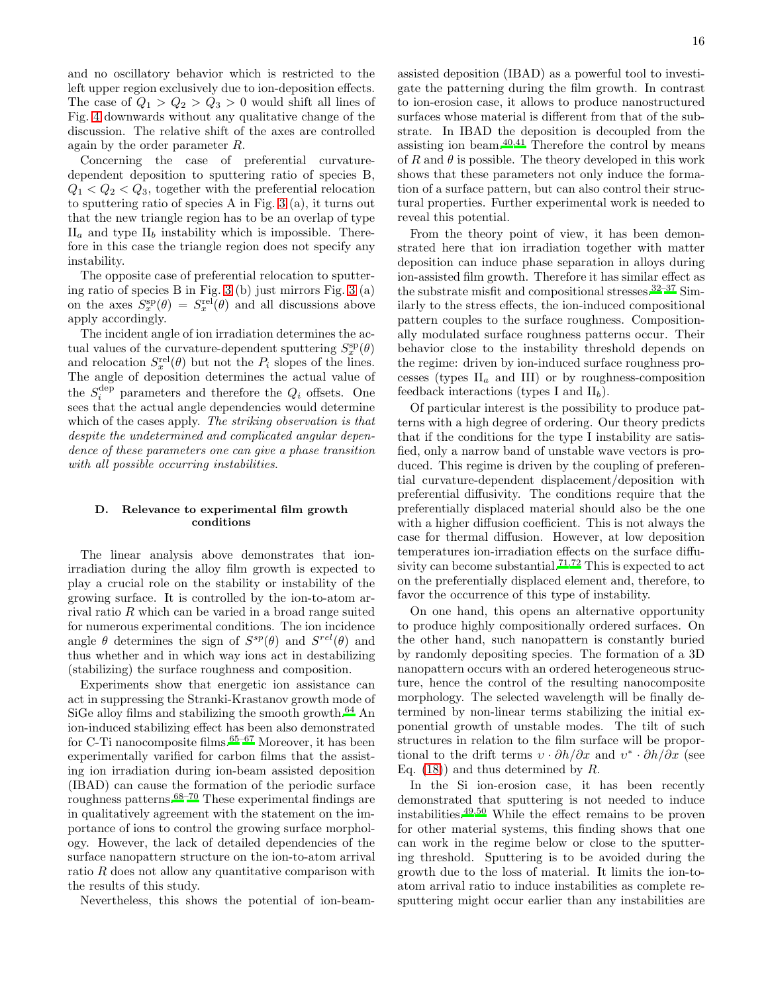and no oscillatory behavior which is restricted to the left upper region exclusively due to ion-deposition effects. The case of  $Q_1 > Q_2 > Q_3 > 0$  would shift all lines of Fig. [4](#page-20-0) downwards without any qualitative change of the discussion. The relative shift of the axes are controlled again by the order parameter R.

Concerning the case of preferential curvaturedependent deposition to sputtering ratio of species B,  $Q_1 < Q_2 < Q_3$ , together with the preferential relocation to sputtering ratio of species A in Fig. [3](#page-19-0) (a), it turns out that the new triangle region has to be an overlap of type  $II_a$  and type  $II_b$  instability which is impossible. Therefore in this case the triangle region does not specify any instability.

The opposite case of preferential relocation to sputtering ratio of species B in Fig. [3](#page-19-0) (b) just mirrors Fig. [3](#page-19-0) (a) on the axes  $S_x^{\text{sp}}(\theta) = S_x^{\text{rel}}(\theta)$  and all discussions above apply accordingly.

The incident angle of ion irradiation determines the actual values of the curvature-dependent sputtering  $S_x^{\text{sp}}(\theta)$ and relocation  $S_x^{\text{rel}}(\theta)$  but not the  $P_i$  slopes of the lines. The angle of deposition determines the actual value of the  $S_i^{\text{dep}}$  parameters and therefore the  $Q_i$  offsets. One sees that the actual angle dependencies would determine which of the cases apply. The striking observation is that despite the undetermined and complicated angular dependence of these parameters one can give a phase transition with all possible occurring instabilities.

# D. Relevance to experimental film growth conditions

The linear analysis above demonstrates that ionirradiation during the alloy film growth is expected to play a crucial role on the stability or instability of the growing surface. It is controlled by the ion-to-atom arrival ratio R which can be varied in a broad range suited for numerous experimental conditions. The ion incidence angle  $\theta$  determines the sign of  $S^{sp}(\theta)$  and  $S^{rel}(\theta)$  and thus whether and in which way ions act in destabilizing (stabilizing) the surface roughness and composition.

Experiments show that energetic ion assistance can act in suppressing the Stranki-Krastanov growth mode of SiGe alloy films and stabilizing the smooth growth[.](#page-18-39)<sup>64</sup> An ion-induced stabilizing effect has been also demonstrated for C-Ti nanocomposite films.<sup>[65](#page-18-40)-67</sup> Moreover, it has been experimentally varified for carbon films that the assisting ion irradiation during ion-beam assisted deposition (IBAD) can cause the formation of the periodic surface roughness patterns.[68](#page-18-42)[–70](#page-18-43) These experimental findings are in qualitatively agreement with the statement on the importance of ions to control the growing surface morphology. However, the lack of detailed dependencies of the surface nanopattern structure on the ion-to-atom arrival ratio R does not allow any quantitative comparison with the results of this study.

Nevertheless, this shows the potential of ion-beam-

16

assisted deposition (IBAD) as a powerful tool to investigate the patterning during the film growth. In contrast to ion-erosion case, it allows to produce nanostructured surfaces whose material is different from that of the substrate. In IBAD the deposition is decoupled from the assisting ion beam. $40,41$  $40,41$  Therefore the control by means of R and  $\theta$  is possible. The theory developed in this work shows that these parameters not only induce the formation of a surface pattern, but can also control their structural properties. Further experimental work is needed to reveal this potential.

From the theory point of view, it has been demonstrated here that ion irradiation together with matter deposition can induce phase separation in alloys during ion-assisted film growth. Therefore it has similar effect as the substrate misfit and compositional stresses.[32](#page-18-11)[–37](#page-18-12) Similarly to the stress effects, the ion-induced compositional pattern couples to the surface roughness. Compositionally modulated surface roughness patterns occur. Their behavior close to the instability threshold depends on the regime: driven by ion-induced surface roughness processes (types  $II_a$  and III) or by roughness-composition feedback interactions (types I and  $II_b$ ).

Of particular interest is the possibility to produce patterns with a high degree of ordering. Our theory predicts that if the conditions for the type I instability are satisfied, only a narrow band of unstable wave vectors is produced. This regime is driven by the coupling of preferential curvature-dependent displacement/deposition with preferential diffusivity. The conditions require that the preferentially displaced material should also be the one with a higher diffusion coefficient. This is not always the case for thermal diffusion. However, at low deposition temperatures ion-irradiation effects on the surface diffu-sivity can become substantial.<sup>[71](#page-18-44)[,72](#page-18-45)</sup> This is expected to act on the preferentially displaced element and, therefore, to favor the occurrence of this type of instability.

On one hand, this opens an alternative opportunity to produce highly compositionally ordered surfaces. On the other hand, such nanopattern is constantly buried by randomly depositing species. The formation of a 3D nanopattern occurs with an ordered heterogeneous structure, hence the control of the resulting nanocomposite morphology. The selected wavelength will be finally determined by non-linear terms stabilizing the initial exponential growth of unstable modes. The tilt of such structures in relation to the film surface will be proportional to the drift terms  $v \cdot \partial h / \partial x$  and  $v^* \cdot \partial h / \partial x$  (see Eq.  $(18)$  and thus determined by R.

In the Si ion-erosion case, it has been recently demonstrated that sputtering is not needed to induce instabilities.[49](#page-18-34)[,50](#page-18-33) While the effect remains to be proven for other material systems, this finding shows that one can work in the regime below or close to the sputtering threshold. Sputtering is to be avoided during the growth due to the loss of material. It limits the ion-toatom arrival ratio to induce instabilities as complete resputtering might occur earlier than any instabilities are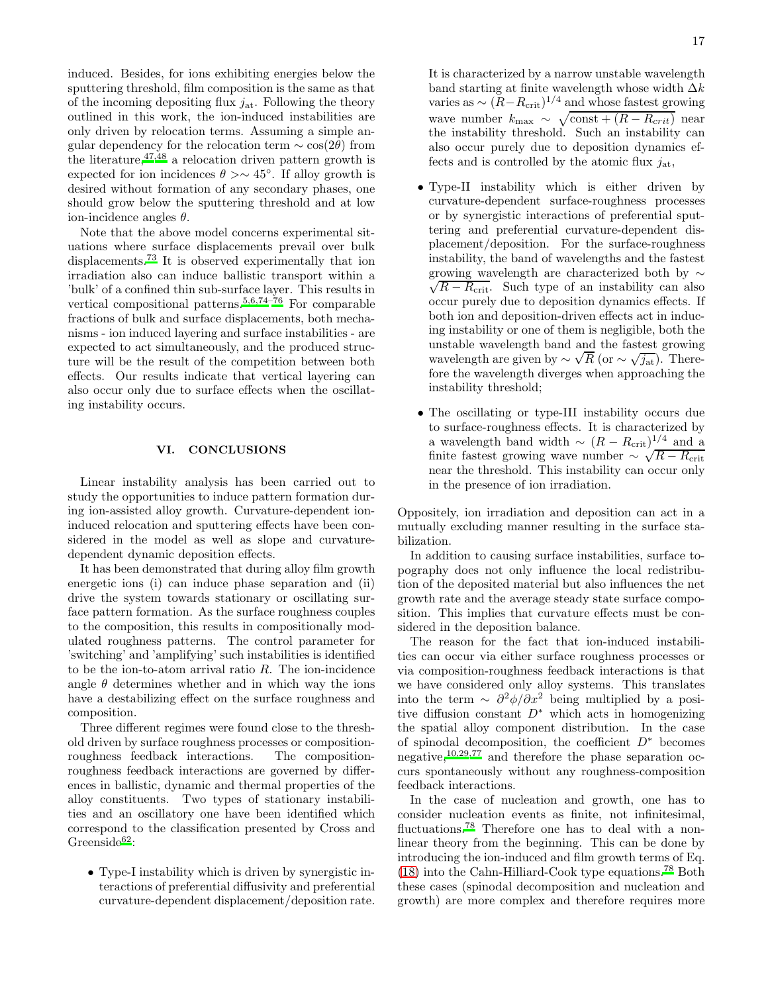induced. Besides, for ions exhibiting energies below the sputtering threshold, film composition is the same as that of the incoming depositing flux  $j_{at}$ . Following the theory outlined in this work, the ion-induced instabilities are only driven by relocation terms. Assuming a simple angular dependency for the relocation term  $\sim$  cos(2θ) from the literature,  $47,48$  $47,48$  a relocation driven pattern growth is expected for ion incidences  $\theta > \sim 45^{\circ}$ . If alloy growth is desired without formation of any secondary phases, one should grow below the sputtering threshold and at low ion-incidence angles  $\theta$ .

Note that the above model concerns experimental situations where surface displacements prevail over bulk displacements.[73](#page-18-46) It is observed experimentally that ion irradiation also can induce ballistic transport within a 'bulk' of a confined thin sub-surface layer. This results in vertical compositional patterns.<sup>[5](#page-17-7)[,6](#page-17-8)[,74](#page-18-47)[–76](#page-18-48)</sup> For comparable fractions of bulk and surface displacements, both mechanisms - ion induced layering and surface instabilities - are expected to act simultaneously, and the produced structure will be the result of the competition between both effects. Our results indicate that vertical layering can also occur only due to surface effects when the oscillating instability occurs.

# VI. CONCLUSIONS

Linear instability analysis has been carried out to study the opportunities to induce pattern formation during ion-assisted alloy growth. Curvature-dependent ioninduced relocation and sputtering effects have been considered in the model as well as slope and curvaturedependent dynamic deposition effects.

It has been demonstrated that during alloy film growth energetic ions (i) can induce phase separation and (ii) drive the system towards stationary or oscillating surface pattern formation. As the surface roughness couples to the composition, this results in compositionally modulated roughness patterns. The control parameter for 'switching' and 'amplifying' such instabilities is identified to be the ion-to-atom arrival ratio  $R$ . The ion-incidence angle  $\theta$  determines whether and in which way the ions have a destabilizing effect on the surface roughness and composition.

Three different regimes were found close to the threshold driven by surface roughness processes or compositionroughness feedback interactions. The compositionroughness feedback interactions are governed by differences in ballistic, dynamic and thermal properties of the alloy constituents. Two types of stationary instabilities and an oscillatory one have been identified which correspond to the classification presented by Cross and Greenside<sup>[62](#page-18-36)</sup>:

• Type-I instability which is driven by synergistic interactions of preferential diffusivity and preferential curvature-dependent displacement/deposition rate. It is characterized by a narrow unstable wavelength band starting at finite wavelength whose width  $\Delta k$ varies as  $\sim (R - R_{\rm crit})^{1/4}$  and whose fastest growing wave number  $k_{\text{max}} \sim \sqrt{\text{const} + (R - R_{crit})}$  near the instability threshold. Such an instability can also occur purely due to deposition dynamics effects and is controlled by the atomic flux  $j_{at}$ ,

- Type-II instability which is either driven by curvature-dependent surface-roughness processes or by synergistic interactions of preferential sputtering and preferential curvature-dependent displacement/deposition. For the surface-roughness instability, the band of wavelengths and the fastest growing wavelength are characterized both by  $\sim$ growing wavelength are characterized both by  $\sim$ <br> $\sqrt{R - R_{\text{crit}}}$ . Such type of an instability can also occur purely due to deposition dynamics effects. If both ion and deposition-driven effects act in inducing instability or one of them is negligible, both the unstable wavelength band and the fastest growing wavelength are given by  $\sim \sqrt{R}$  (or  $\sim \sqrt{j_{at}}$ ). Therefore the wavelength diverges when approaching the instability threshold;
- The oscillating or type-III instability occurs due to surface-roughness effects. It is characterized by a wavelength band width  $\sim (R - R_{\rm crit})^{1/4}$  and a finite fastest growing wave number  $\sim \sqrt{R - R_{\text{crit}}}$ near the threshold. This instability can occur only in the presence of ion irradiation.

Oppositely, ion irradiation and deposition can act in a mutually excluding manner resulting in the surface stabilization.

In addition to causing surface instabilities, surface topography does not only influence the local redistribution of the deposited material but also influences the net growth rate and the average steady state surface composition. This implies that curvature effects must be considered in the deposition balance.

The reason for the fact that ion-induced instabilities can occur via either surface roughness processes or via composition-roughness feedback interactions is that we have considered only alloy systems. This translates into the term ~  $\partial^2 \phi / \partial x^2$  being multiplied by a positive diffusion constant  $D^*$  which acts in homogenizing the spatial alloy component distribution. In the case of spinodal decomposition, the coefficient  $D^*$  becomes negative,[10](#page-17-3)[,29](#page-18-9)[,77](#page-18-49) and therefore the phase separation occurs spontaneously without any roughness-composition feedback interactions.

In the case of nucleation and growth, one has to consider nucleation events as finite, not infinitesimal, fluctuations.<sup>[78](#page-18-50)</sup> Therefore one has to deal with a nonlinear theory from the beginning. This can be done by introducing the ion-induced and film growth terms of Eq.  $(18)$  into the Cahn-Hilliard-Cook type equations.<sup>[78](#page-18-50)</sup> Both these cases (spinodal decomposition and nucleation and growth) are more complex and therefore requires more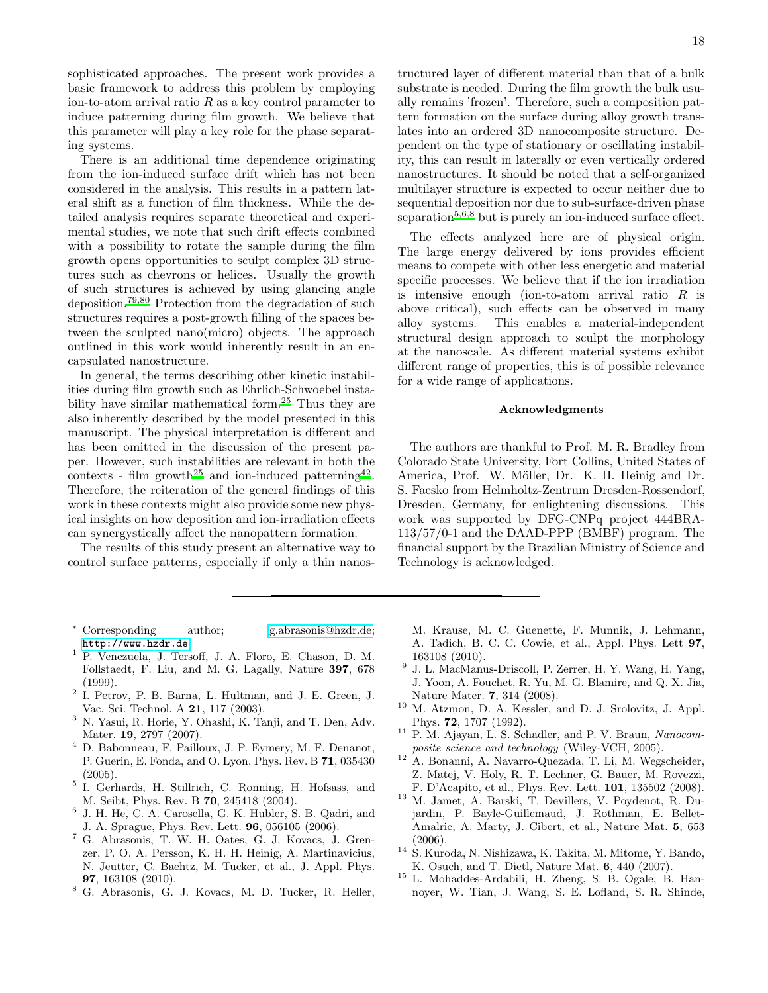sophisticated approaches. The present work provides a basic framework to address this problem by employing ion-to-atom arrival ratio  $R$  as a key control parameter to induce patterning during film growth. We believe that this parameter will play a key role for the phase separating systems.

There is an additional time dependence originating from the ion-induced surface drift which has not been considered in the analysis. This results in a pattern lateral shift as a function of film thickness. While the detailed analysis requires separate theoretical and experimental studies, we note that such drift effects combined with a possibility to rotate the sample during the film growth opens opportunities to sculpt complex 3D structures such as chevrons or helices. Usually the growth of such structures is achieved by using glancing angle deposition[.](#page-18-51)79[,80](#page-18-52) Protection from the degradation of such structures requires a post-growth filling of the spaces between the sculpted nano(micro) objects. The approach outlined in this work would inherently result in an encapsulated nanostructure.

In general, the terms describing other kinetic instabilities during film growth such as Ehrlich-Schwoebel instability have similar mathematical form.[25](#page-18-4) Thus they are also inherently described by the model presented in this manuscript. The physical interpretation is different and has been omitted in the discussion of the present paper. However, such instabilities are relevant in both the contexts - film growth<sup>[25](#page-18-4)</sup> and ion-induced patterning<sup>[42](#page-18-17)</sup>. Therefore, the reiteration of the general findings of this work in these contexts might also provide some new physical insights on how deposition and ion-irradiation effects can synergystically affect the nanopattern formation.

The results of this study present an alternative way to control surface patterns, especially if only a thin nanos-

- <span id="page-17-0"></span><sup>∗</sup> Corresponding author; [g.abrasonis@hzdr.de;](mailto:g.abrasonis@hzdr.de) <http://www.hzdr.de>
- <span id="page-17-1"></span><sup>1</sup> P. Venezuela, J. Tersoff, J. A. Floro, E. Chason, D. M. Follstaedt, F. Liu, and M. G. Lagally, Nature 397, 678 (1999).
- <span id="page-17-5"></span>2 I. Petrov, P. B. Barna, L. Hultman, and J. E. Green, J. Vac. Sci. Technol. A 21, 117 (2003).
- <span id="page-17-6"></span><sup>3</sup> N. Yasui, R. Horie, Y. Ohashi, K. Tanji, and T. Den, Adv. Mater. **19**, 2797 (2007).
- <sup>4</sup> D. Babonneau, F. Pailloux, J. P. Eymery, M. F. Denanot, P. Guerin, E. Fonda, and O. Lyon, Phys. Rev. B 71, 035430  $(2005).$
- <span id="page-17-7"></span>5 I. Gerhards, H. Stillrich, C. Ronning, H. Hofsass, and M. Seibt, Phys. Rev. B 70, 245418 (2004).
- <span id="page-17-8"></span>6 J. H. He, C. A. Carosella, G. K. Hubler, S. B. Qadri, and J. A. Sprague, Phys. Rev. Lett. 96, 056105 (2006).
- <sup>7</sup> G. Abrasonis, T. W. H. Oates, G. J. Kovacs, J. Grenzer, P. O. A. Persson, K. H. H. Heinig, A. Martinavicius, N. Jeutter, C. Baehtz, M. Tucker, et al., J. Appl. Phys. 97, 163108 (2010).
- <span id="page-17-9"></span><sup>8</sup> G. Abrasonis, G. J. Kovacs, M. D. Tucker, R. Heller,

18

tructured layer of different material than that of a bulk substrate is needed. During the film growth the bulk usually remains 'frozen'. Therefore, such a composition pattern formation on the surface during alloy growth translates into an ordered 3D nanocomposite structure. Dependent on the type of stationary or oscillating instability, this can result in laterally or even vertically ordered nanostructures. It should be noted that a self-organized multilayer structure is expected to occur neither due to sequential deposition nor due to sub-surface-driven phase separation<sup>[5](#page-17-7)[,6](#page-17-8)[,8](#page-17-9)</sup> but is purely an ion-induced surface effect.

The effects analyzed here are of physical origin. The large energy delivered by ions provides efficient means to compete with other less energetic and material specific processes. We believe that if the ion irradiation is intensive enough (ion-to-atom arrival ratio  $R$  is above critical), such effects can be observed in many alloy systems. This enables a material-independent structural design approach to sculpt the morphology at the nanoscale. As different material systems exhibit different range of properties, this is of possible relevance for a wide range of applications.

### Acknowledgments

The authors are thankful to Prof. M. R. Bradley from Colorado State University, Fort Collins, United States of America, Prof. W. Möller, Dr. K. H. Heinig and Dr. S. Facsko from Helmholtz-Zentrum Dresden-Rossendorf, Dresden, Germany, for enlightening discussions. This work was supported by DFG-CNPq project 444BRA-113/57/0-1 and the DAAD-PPP (BMBF) program. The financial support by the Brazilian Ministry of Science and Technology is acknowledged.

- M. Krause, M. C. Guenette, F. Munnik, J. Lehmann, A. Tadich, B. C. C. Cowie, et al., Appl. Phys. Lett 97, 163108 (2010).
- <span id="page-17-2"></span><sup>9</sup> J. L. MacManus-Driscoll, P. Zerrer, H. Y. Wang, H. Yang, J. Yoon, A. Fouchet, R. Yu, M. G. Blamire, and Q. X. Jia, Nature Mater. 7, 314 (2008).
- <span id="page-17-3"></span><sup>10</sup> M. Atzmon, D. A. Kessler, and D. J. Srolovitz, J. Appl. Phys. 72, 1707 (1992).
- <span id="page-17-4"></span><sup>11</sup> P. M. Ajayan, L. S. Schadler, and P. V. Braun, *Nanocomposite science and technology* (Wiley-VCH, 2005).
- <sup>12</sup> A. Bonanni, A. Navarro-Quezada, T. Li, M. Wegscheider, Z. Matej, V. Holy, R. T. Lechner, G. Bauer, M. Rovezzi, F. D'Acapito, et al., Phys. Rev. Lett. 101, 135502 (2008).
- <sup>13</sup> M. Jamet, A. Barski, T. Devillers, V. Poydenot, R. Dujardin, P. Bayle-Guillemaud, J. Rothman, E. Bellet-Amalric, A. Marty, J. Cibert, et al., Nature Mat. 5, 653 (2006).
- <sup>14</sup> S. Kuroda, N. Nishizawa, K. Takita, M. Mitome, Y. Bando, K. Osuch, and T. Dietl, Nature Mat. 6, 440 (2007).
- <sup>15</sup> L. Mohaddes-Ardabili, H. Zheng, S. B. Ogale, B. Hannoyer, W. Tian, J. Wang, S. E. Lofland, S. R. Shinde,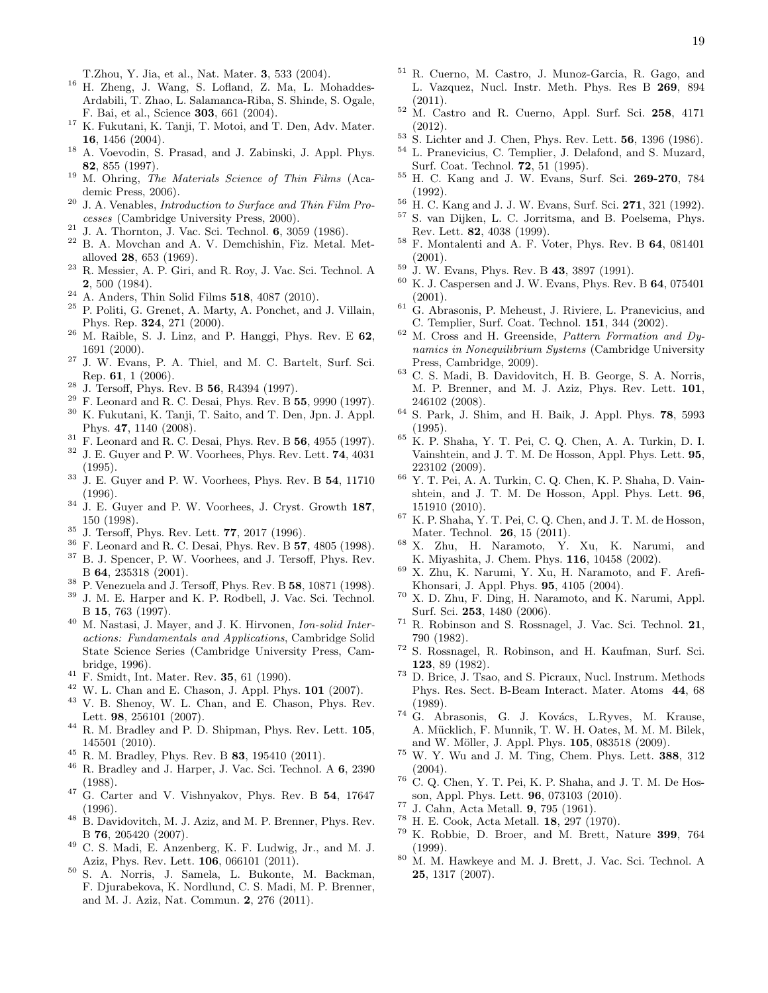T.Zhou, Y. Jia, et al., Nat. Mater. 3, 533 (2004).

- <sup>16</sup> H. Zheng, J. Wang, S. Lofland, Z. Ma, L. Mohaddes-Ardabili, T. Zhao, L. Salamanca-Riba, S. Shinde, S. Ogale, F. Bai, et al., Science 303, 661 (2004).
- $^{17}\,$  K. Fukutani, K. Tanji, T. Motoi, and T. Den, Adv. Mater. 16, 1456 (2004).
- <span id="page-18-0"></span><sup>18</sup> A. Voevodin, S. Prasad, and J. Zabinski, J. Appl. Phys. 82, 855 (1997).
- <span id="page-18-1"></span><sup>19</sup> M. Ohring, *The Materials Science of Thin Films* (Academic Press, 2006).
- <sup>20</sup> J. A. Venables, *Introduction to Surface and Thin Film Processes* (Cambridge University Press, 2000).
- <span id="page-18-2"></span> $21$  J. A. Thornton, J. Vac. Sci. Technol. 6, 3059 (1986).
- <sup>22</sup> B. A. Movchan and A. V. Demchishin, Fiz. Metal. Metalloved 28, 653 (1969).
- $^{23}$  R. Messier, A. P. Giri, and R. Roy, J. Vac. Sci. Technol. A 2, 500 (1984).
- <span id="page-18-3"></span><sup>24</sup> A. Anders, Thin Solid Films 518, 4087 (2010).
- <span id="page-18-4"></span><sup>25</sup> P. Politi, G. Grenet, A. Marty, A. Ponchet, and J. Villain, Phys. Rep. 324, 271 (2000).
- <span id="page-18-5"></span><sup>26</sup> M. Raible, S. J. Linz, and P. Hanggi, Phys. Rev. E 62, 1691 (2000).
- <span id="page-18-6"></span><sup>27</sup> J. W. Evans, P. A. Thiel, and M. C. Bartelt, Surf. Sci. Rep. 61, 1 (2006).
- <span id="page-18-7"></span><sup>28</sup> J. Tersoff, Phys. Rev. B 56, R4394 (1997).
- <span id="page-18-9"></span> $29$  F. Leonard and R. C. Desai, Phys. Rev. B  $55, 9990$  (1997).
- <span id="page-18-8"></span><sup>30</sup> K. Fukutani, K. Tanji, T. Saito, and T. Den, Jpn. J. Appl. Phys. 47, 1140 (2008).
- <span id="page-18-10"></span><sup>31</sup> F. Leonard and R. C. Desai, Phys. Rev. B 56, 4955 (1997).<br><sup>32</sup> J. E. Curren and B. W. Voorhees, Phys. Rev. Lett. **74**, 4021.
- <span id="page-18-11"></span><sup>32</sup> J. E. Guyer and P. W. Voorhees, Phys. Rev. Lett. 74, 4031 (1995).
- <span id="page-18-38"></span> $33\,$  J. E. Guyer and P. W. Voorhees, Phys. Rev. B 54, 11710 (1996).
- $34$  J. E. Guyer and P. W. Voorhees, J. Cryst. Growth 187, 150 (1998).
- $35$  J. Tersoff, Phys. Rev. Lett. **77**, 2017 (1996).
- $36$  F. Leonard and R. C. Desai, Phys. Rev. B 57, 4805 (1998).<br> $37$  B. J. Spancer, P. W. Voorboos, and J. Torooff, Phys. Boy. B. J. Spencer, P. W. Voorhees, and J. Tersoff, Phys. Rev.
- <span id="page-18-12"></span>B 64, 235318 (2001).
- <span id="page-18-13"></span><sup>38</sup> P. Venezuela and J. Tersoff, Phys. Rev. B  $\overline{58}$ , 10871 (1998).<br><sup>39</sup> J. M. E. Harper and K. B. Bodbell, J. Vac. Sei, Technol. J. M. E. Harper and K. P. Rodbell, J. Vac. Sci. Technol.
- <span id="page-18-14"></span>B 15, 763 (1997).
- <span id="page-18-15"></span><sup>40</sup> M. Nastasi, J. Mayer, and J. K. Hirvonen, *Ion-solid Interactions: Fundamentals and Applications*, Cambridge Solid State Science Series (Cambridge University Press, Cambridge, 1996).
- <span id="page-18-16"></span><sup>41</sup> F. Smidt, Int. Mater. Rev. 35, 61 (1990).
- <span id="page-18-17"></span> $^{42}$  W. L. Chan and E. Chason, J. Appl. Phys.  $101$  (2007).
- <span id="page-18-18"></span><sup>43</sup> V. B. Shenoy, W. L. Chan, and E. Chason, Phys. Rev. Lett. 98, 256101 (2007).
- <span id="page-18-19"></span><sup>44</sup> R. M. Bradley and P. D. Shipman, Phys. Rev. Lett. 105, 145501 (2010).
- <span id="page-18-20"></span> $^{45}$  R. M. Bradley, Phys. Rev. B  $\bf{83}$ , 195410 (2011).<br> $^{46}$  B. Bradley and J. Harper, J. Vac. Sci. Tochnol.
- <span id="page-18-21"></span><sup>46</sup> R. Bradley and J. Harper, J. Vac. Sci. Technol. A 6, 2390 (1988).
- <span id="page-18-22"></span> $47$  G. Carter and V. Vishnyakov, Phys. Rev. B 54, 17647 (1996).
- <span id="page-18-26"></span><sup>48</sup> B. Davidovitch, M. J. Aziz, and M. P. Brenner, Phys. Rev. B 76, 205420 (2007).
- <span id="page-18-34"></span><sup>49</sup> C. S. Madi, E. Anzenberg, K. F. Ludwig, Jr., and M. J. Aziz, Phys. Rev. Lett. 106, 066101 (2011).
- <span id="page-18-33"></span>S. A. Norris, J. Samela, L. Bukonte, M. Backman, F. Djurabekova, K. Nordlund, C. S. Madi, M. P. Brenner, and M. J. Aziz, Nat. Commun. 2, 276 (2011).
- <sup>51</sup> R. Cuerno, M. Castro, J. Munoz-Garcia, R. Gago, and L. Vazquez, Nucl. Instr. Meth. Phys. Res B 269, 894 (2011).
- <span id="page-18-23"></span><sup>52</sup> M. Castro and R. Cuerno, Appl. Surf. Sci. 258, 4171 (2012).
- <span id="page-18-24"></span><sup>53</sup> S. Lichter and J. Chen, Phys. Rev. Lett. 56, 1396 (1986).
- <span id="page-18-25"></span><sup>54</sup> L. Pranevicius, C. Templier, J. Delafond, and S. Muzard, Surf. Coat. Technol. 72, 51 (1995).
- <span id="page-18-27"></span><sup>55</sup> H. C. Kang and J. W. Evans, Surf. Sci. 269-270, 784 (1992).
- <span id="page-18-28"></span><sup>56</sup> H. C. Kang and J. J. W. Evans, Surf. Sci. 271, 321 (1992).
- <span id="page-18-29"></span><sup>57</sup> S. van Dijken, L. C. Jorritsma, and B. Poelsema, Phys. Rev. Lett. 82, 4038 (1999).
- <span id="page-18-30"></span><sup>58</sup> F. Montalenti and A. F. Voter, Phys. Rev. B 64, 081401 (2001).
- <span id="page-18-31"></span><sup>59</sup> J. W. Evans, Phys. Rev. B 43, 3897 (1991).
- <span id="page-18-32"></span> $^{60}$  K. J. Caspersen and J. W. Evans, Phys. Rev. B  $\bf{64}, 075401$ (2001).
- <span id="page-18-35"></span> $61\,$  G. Abrasonis, P. Meheust, J. Riviere, L. Pranevicius, and C. Templier, Surf. Coat. Technol. 151, 344 (2002).
- <span id="page-18-36"></span><sup>62</sup> M. Cross and H. Greenside, *Pattern Formation and Dynamics in Nonequilibrium Systems* (Cambridge University Press, Cambridge, 2009).
- <span id="page-18-37"></span><sup>63</sup> C. S. Madi, B. Davidovitch, H. B. George, S. A. Norris, M. P. Brenner, and M. J. Aziz, Phys. Rev. Lett. 101, 246102 (2008).
- <span id="page-18-39"></span><sup>64</sup> S. Park, J. Shim, and H. Baik, J. Appl. Phys. 78, 5993 (1995).
- <span id="page-18-40"></span> $65$  K. P. Shaha, Y. T. Pei, C. Q. Chen, A. A. Turkin, D. I. Vainshtein, and J. T. M. De Hosson, Appl. Phys. Lett. 95, 223102 (2009).
- $^{66}$  Y. T. Pei, A. A. Turkin, C. Q. Chen, K. P. Shaha, D. Vainshtein, and J. T. M. De Hosson, Appl. Phys. Lett. 96, 151910 (2010).
- <span id="page-18-41"></span> $67$  K. P. Shaha, Y. T. Pei, C. Q. Chen, and J. T. M. de Hosson, Mater. Technol. 26, 15 (2011).
- <span id="page-18-42"></span><sup>68</sup> X. Zhu, H. Naramoto, Y. Xu, K. Narumi, and K. Miyashita, J. Chem. Phys. 116, 10458 (2002).
- <sup>69</sup> X. Zhu, K. Narumi, Y. Xu, H. Naramoto, and F. Arefi-Khonsari, J. Appl. Phys. 95, 4105 (2004).
- <span id="page-18-43"></span><sup>70</sup> X. D. Zhu, F. Ding, H. Naramoto, and K. Narumi, Appl. Surf. Sci. 253, 1480 (2006).
- <span id="page-18-44"></span><sup>71</sup> R. Robinson and S. Rossnagel, J. Vac. Sci. Technol. 21, 790 (1982).
- <span id="page-18-45"></span><sup>72</sup> S. Rossnagel, R. Robinson, and H. Kaufman, Surf. Sci. 123, 89 (1982).
- <span id="page-18-46"></span><sup>73</sup> D. Brice, J. Tsao, and S. Picraux, Nucl. Instrum. Methods Phys. Res. Sect. B-Beam Interact. Mater. Atoms 44, 68 (1989).
- <span id="page-18-47"></span><sup>74</sup> G. Abrasonis, G. J. Kovács, L.Ryves, M. Krause, A. M¨ucklich, F. Munnik, T. W. H. Oates, M. M. M. Bilek, and W. Möller, J. Appl. Phys. 105, 083518 (2009).
- <sup>75</sup> W. Y. Wu and J. M. Ting, Chem. Phys. Lett. 388, 312 (2004).
- <span id="page-18-48"></span> $76$  C. Q. Chen, Y. T. Pei, K. P. Shaha, and J. T. M. De Hosson, Appl. Phys. Lett. 96, 073103 (2010).
- <span id="page-18-49"></span><sup>77</sup> J. Cahn, Acta Metall. 9, 795 (1961).
- <span id="page-18-50"></span><sup>78</sup> H. E. Cook, Acta Metall. 18, 297 (1970).
- <span id="page-18-51"></span><sup>79</sup> K. Robbie, D. Broer, and M. Brett, Nature 399, 764 (1999).
- <span id="page-18-52"></span><sup>80</sup> M. M. Hawkeye and M. J. Brett, J. Vac. Sci. Technol. A 25, 1317 (2007).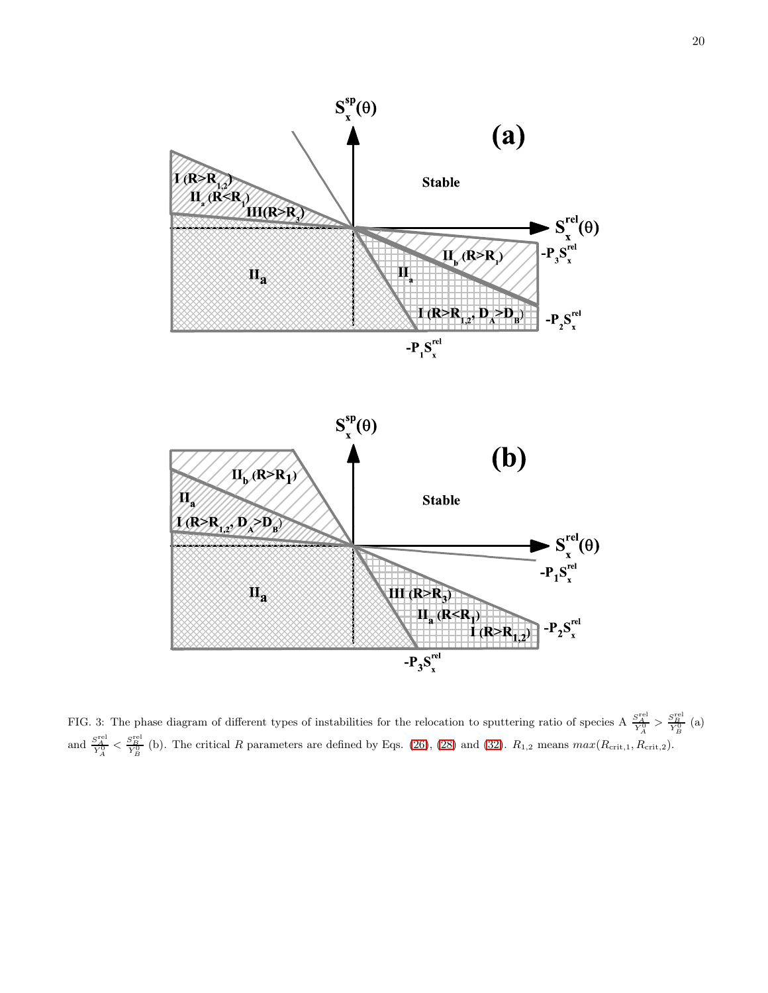

<span id="page-19-0"></span>FIG. 3: The phase diagram of different types of instabilities for the relocation to sputtering ratio of species A  $\frac{S_A^{\text{rel}}}{Y_A^0} > \frac{S_B^{\text{rel}}}{Y_B^0}$  (a) and  $\frac{S_A^{\text{rel}}}{Y_A^0} < \frac{S_B^{\text{rel}}}{Y_B^0}$  (b). The critical R parameters are defined by Eqs. [\(26\)](#page-8-1), [\(28\)](#page-9-1) and [\(32\)](#page-10-2).  $R_{1,2}$  means  $max(R_{\text{crit},1}, R_{\text{crit},2})$ .